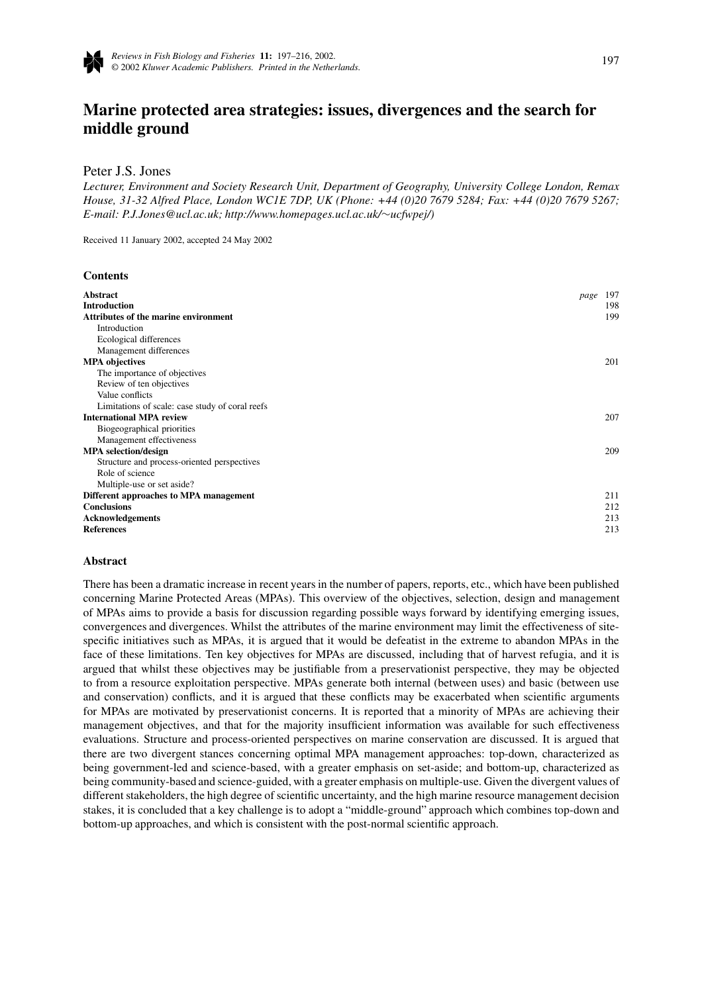

# **Marine protected area strategies: issues, divergences and the search for middle ground**

Peter J.S. Jones

*Lecturer, Environment and Society Research Unit, Department of Geography, University College London, Remax House, 31-32 Alfred Place, London WC1E 7DP, UK (Phone: +44 (0)20 7679 5284; Fax: +44 (0)20 7679 5267; E-mail: P.J.Jones@ucl.ac.uk; http://www.homepages.ucl.ac.uk/*∼*ucfwpej/)*

Received 11 January 2002, accepted 24 May 2002

# **Contents**

| <b>Abstract</b>                                 | page | 197 |
|-------------------------------------------------|------|-----|
| <b>Introduction</b>                             |      | 198 |
| <b>Attributes of the marine environment</b>     |      | 199 |
| Introduction                                    |      |     |
| Ecological differences                          |      |     |
| Management differences                          |      |     |
| <b>MPA</b> objectives                           |      | 201 |
| The importance of objectives                    |      |     |
| Review of ten objectives                        |      |     |
| Value conflicts                                 |      |     |
| Limitations of scale: case study of coral reefs |      |     |
| <b>International MPA review</b>                 |      | 207 |
| Biogeographical priorities                      |      |     |
| Management effectiveness                        |      |     |
| <b>MPA</b> selection/design                     |      | 209 |
| Structure and process-oriented perspectives     |      |     |
| Role of science                                 |      |     |
| Multiple-use or set aside?                      |      |     |
| Different approaches to MPA management          |      | 211 |
| <b>Conclusions</b>                              |      | 212 |
| <b>Acknowledgements</b>                         |      | 213 |
| <b>References</b>                               |      | 213 |

# **Abstract**

There has been a dramatic increase in recent years in the number of papers, reports, etc., which have been published concerning Marine Protected Areas (MPAs). This overview of the objectives, selection, design and management of MPAs aims to provide a basis for discussion regarding possible ways forward by identifying emerging issues, convergences and divergences. Whilst the attributes of the marine environment may limit the effectiveness of sitespecific initiatives such as MPAs, it is argued that it would be defeatist in the extreme to abandon MPAs in the face of these limitations. Ten key objectives for MPAs are discussed, including that of harvest refugia, and it is argued that whilst these objectives may be justifiable from a preservationist perspective, they may be objected to from a resource exploitation perspective. MPAs generate both internal (between uses) and basic (between use and conservation) conflicts, and it is argued that these conflicts may be exacerbated when scientific arguments for MPAs are motivated by preservationist concerns. It is reported that a minority of MPAs are achieving their management objectives, and that for the majority insufficient information was available for such effectiveness evaluations. Structure and process-oriented perspectives on marine conservation are discussed. It is argued that there are two divergent stances concerning optimal MPA management approaches: top-down, characterized as being government-led and science-based, with a greater emphasis on set-aside; and bottom-up, characterized as being community-based and science-guided, with a greater emphasis on multiple-use. Given the divergent values of different stakeholders, the high degree of scientific uncertainty, and the high marine resource management decision stakes, it is concluded that a key challenge is to adopt a "middle-ground" approach which combines top-down and bottom-up approaches, and which is consistent with the post-normal scientific approach.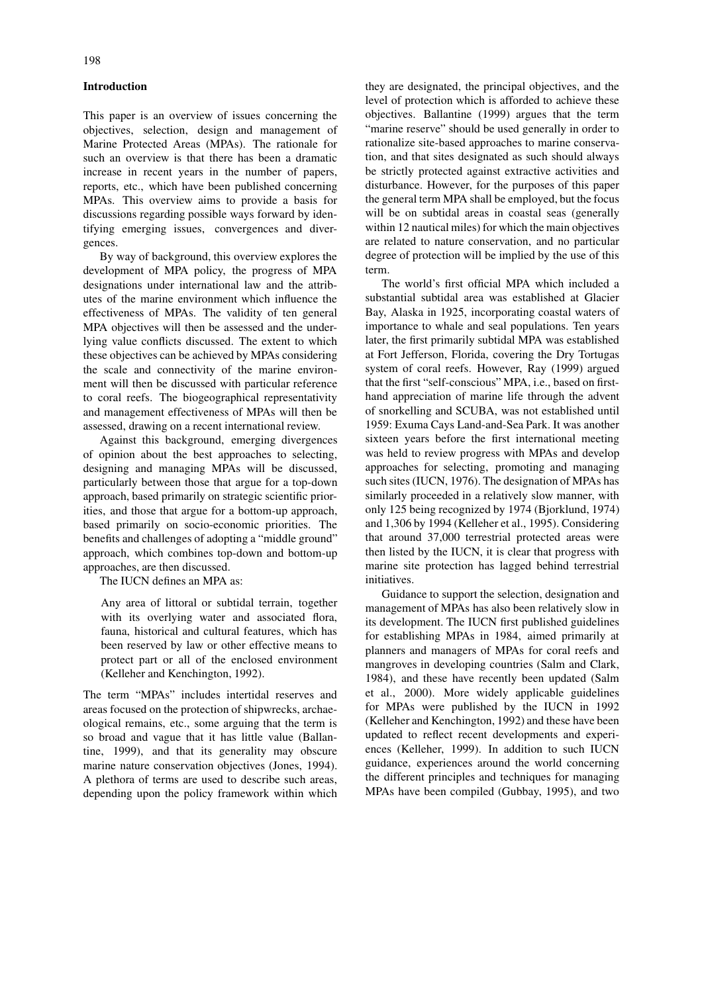198

This paper is an overview of issues concerning the objectives, selection, design and management of Marine Protected Areas (MPAs). The rationale for such an overview is that there has been a dramatic increase in recent years in the number of papers, reports, etc., which have been published concerning MPAs. This overview aims to provide a basis for discussions regarding possible ways forward by identifying emerging issues, convergences and divergences.

By way of background, this overview explores the development of MPA policy, the progress of MPA designations under international law and the attributes of the marine environment which influence the effectiveness of MPAs. The validity of ten general MPA objectives will then be assessed and the underlying value conflicts discussed. The extent to which these objectives can be achieved by MPAs considering the scale and connectivity of the marine environment will then be discussed with particular reference to coral reefs. The biogeographical representativity and management effectiveness of MPAs will then be assessed, drawing on a recent international review.

Against this background, emerging divergences of opinion about the best approaches to selecting, designing and managing MPAs will be discussed, particularly between those that argue for a top-down approach, based primarily on strategic scientific priorities, and those that argue for a bottom-up approach, based primarily on socio-economic priorities. The benefits and challenges of adopting a "middle ground" approach, which combines top-down and bottom-up approaches, are then discussed.

The IUCN defines an MPA as:

Any area of littoral or subtidal terrain, together with its overlying water and associated flora, fauna, historical and cultural features, which has been reserved by law or other effective means to protect part or all of the enclosed environment (Kelleher and Kenchington, 1992).

The term "MPAs" includes intertidal reserves and areas focused on the protection of shipwrecks, archaeological remains, etc., some arguing that the term is so broad and vague that it has little value (Ballantine, 1999), and that its generality may obscure marine nature conservation objectives (Jones, 1994). A plethora of terms are used to describe such areas, depending upon the policy framework within which they are designated, the principal objectives, and the level of protection which is afforded to achieve these objectives. Ballantine (1999) argues that the term "marine reserve" should be used generally in order to rationalize site-based approaches to marine conservation, and that sites designated as such should always be strictly protected against extractive activities and disturbance. However, for the purposes of this paper the general term MPA shall be employed, but the focus will be on subtidal areas in coastal seas (generally within 12 nautical miles) for which the main objectives are related to nature conservation, and no particular degree of protection will be implied by the use of this term.

The world's first official MPA which included a substantial subtidal area was established at Glacier Bay, Alaska in 1925, incorporating coastal waters of importance to whale and seal populations. Ten years later, the first primarily subtidal MPA was established at Fort Jefferson, Florida, covering the Dry Tortugas system of coral reefs. However, Ray (1999) argued that the first "self-conscious" MPA, i.e., based on firsthand appreciation of marine life through the advent of snorkelling and SCUBA, was not established until 1959: Exuma Cays Land-and-Sea Park. It was another sixteen years before the first international meeting was held to review progress with MPAs and develop approaches for selecting, promoting and managing such sites (IUCN, 1976). The designation of MPAs has similarly proceeded in a relatively slow manner, with only 125 being recognized by 1974 (Bjorklund, 1974) and 1,306 by 1994 (Kelleher et al., 1995). Considering that around 37,000 terrestrial protected areas were then listed by the IUCN, it is clear that progress with marine site protection has lagged behind terrestrial initiatives.

Guidance to support the selection, designation and management of MPAs has also been relatively slow in its development. The IUCN first published guidelines for establishing MPAs in 1984, aimed primarily at planners and managers of MPAs for coral reefs and mangroves in developing countries (Salm and Clark, 1984), and these have recently been updated (Salm et al., 2000). More widely applicable guidelines for MPAs were published by the IUCN in 1992 (Kelleher and Kenchington, 1992) and these have been updated to reflect recent developments and experiences (Kelleher, 1999). In addition to such IUCN guidance, experiences around the world concerning the different principles and techniques for managing MPAs have been compiled (Gubbay, 1995), and two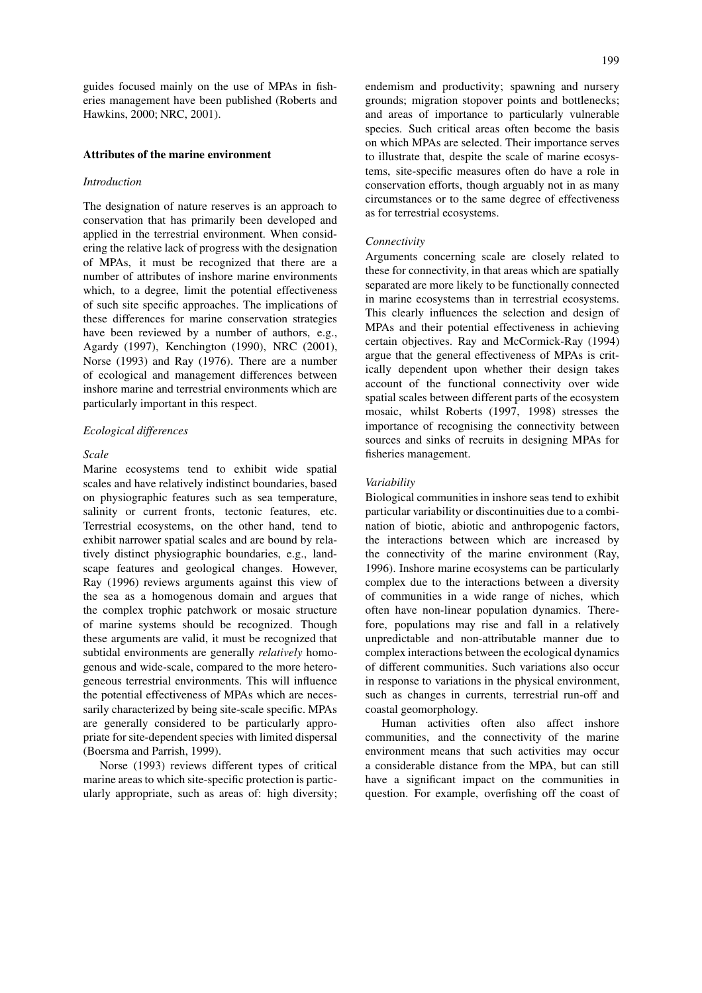guides focused mainly on the use of MPAs in fisheries management have been published (Roberts and Hawkins, 2000; NRC, 2001).

# **Attributes of the marine environment**

#### *Introduction*

The designation of nature reserves is an approach to conservation that has primarily been developed and applied in the terrestrial environment. When considering the relative lack of progress with the designation of MPAs, it must be recognized that there are a number of attributes of inshore marine environments which, to a degree, limit the potential effectiveness of such site specific approaches. The implications of these differences for marine conservation strategies have been reviewed by a number of authors, e.g., Agardy (1997), Kenchington (1990), NRC (2001), Norse (1993) and Ray (1976). There are a number of ecological and management differences between inshore marine and terrestrial environments which are particularly important in this respect.

# *Ecological differences*

#### *Scale*

Marine ecosystems tend to exhibit wide spatial scales and have relatively indistinct boundaries, based on physiographic features such as sea temperature, salinity or current fronts, tectonic features, etc. Terrestrial ecosystems, on the other hand, tend to exhibit narrower spatial scales and are bound by relatively distinct physiographic boundaries, e.g., landscape features and geological changes. However, Ray (1996) reviews arguments against this view of the sea as a homogenous domain and argues that the complex trophic patchwork or mosaic structure of marine systems should be recognized. Though these arguments are valid, it must be recognized that subtidal environments are generally *relatively* homogenous and wide-scale, compared to the more heterogeneous terrestrial environments. This will influence the potential effectiveness of MPAs which are necessarily characterized by being site-scale specific. MPAs are generally considered to be particularly appropriate for site-dependent species with limited dispersal (Boersma and Parrish, 1999).

Norse (1993) reviews different types of critical marine areas to which site-specific protection is particularly appropriate, such as areas of: high diversity; endemism and productivity; spawning and nursery grounds; migration stopover points and bottlenecks; and areas of importance to particularly vulnerable species. Such critical areas often become the basis on which MPAs are selected. Their importance serves to illustrate that, despite the scale of marine ecosystems, site-specific measures often do have a role in conservation efforts, though arguably not in as many circumstances or to the same degree of effectiveness as for terrestrial ecosystems.

#### *Connectivity*

Arguments concerning scale are closely related to these for connectivity, in that areas which are spatially separated are more likely to be functionally connected in marine ecosystems than in terrestrial ecosystems. This clearly influences the selection and design of MPAs and their potential effectiveness in achieving certain objectives. Ray and McCormick-Ray (1994) argue that the general effectiveness of MPAs is critically dependent upon whether their design takes account of the functional connectivity over wide spatial scales between different parts of the ecosystem mosaic, whilst Roberts (1997, 1998) stresses the importance of recognising the connectivity between sources and sinks of recruits in designing MPAs for fisheries management.

# *Variability*

Biological communities in inshore seas tend to exhibit particular variability or discontinuities due to a combination of biotic, abiotic and anthropogenic factors, the interactions between which are increased by the connectivity of the marine environment (Ray, 1996). Inshore marine ecosystems can be particularly complex due to the interactions between a diversity of communities in a wide range of niches, which often have non-linear population dynamics. Therefore, populations may rise and fall in a relatively unpredictable and non-attributable manner due to complex interactions between the ecological dynamics of different communities. Such variations also occur in response to variations in the physical environment, such as changes in currents, terrestrial run-off and coastal geomorphology.

Human activities often also affect inshore communities, and the connectivity of the marine environment means that such activities may occur a considerable distance from the MPA, but can still have a significant impact on the communities in question. For example, overfishing off the coast of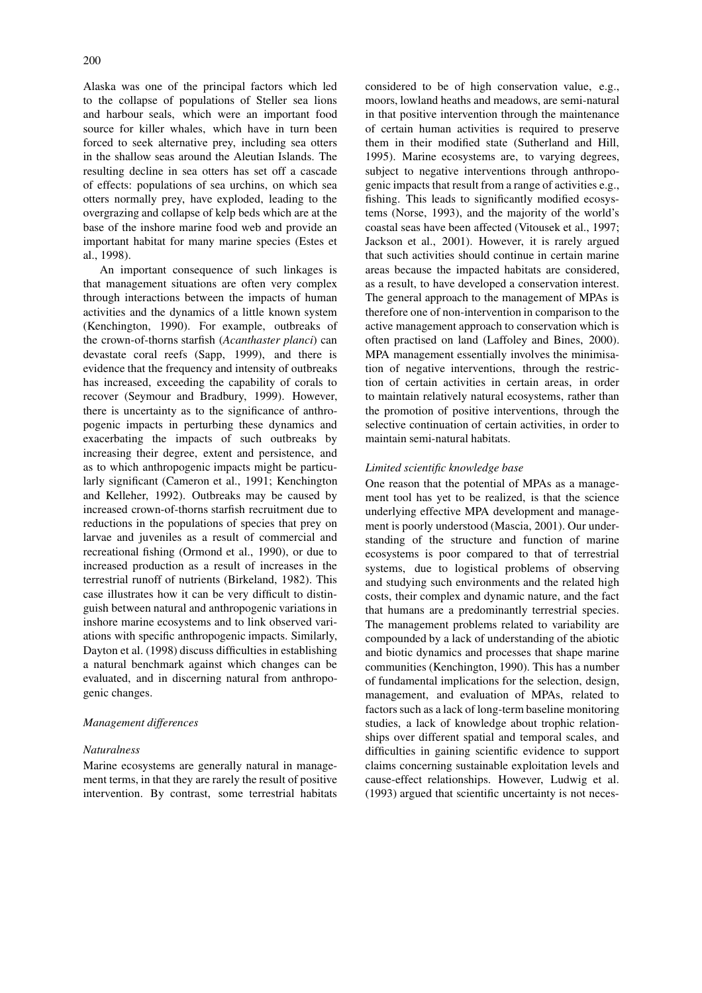Alaska was one of the principal factors which led to the collapse of populations of Steller sea lions and harbour seals, which were an important food source for killer whales, which have in turn been forced to seek alternative prey, including sea otters in the shallow seas around the Aleutian Islands. The resulting decline in sea otters has set off a cascade of effects: populations of sea urchins, on which sea otters normally prey, have exploded, leading to the overgrazing and collapse of kelp beds which are at the base of the inshore marine food web and provide an important habitat for many marine species (Estes et al., 1998).

An important consequence of such linkages is that management situations are often very complex through interactions between the impacts of human activities and the dynamics of a little known system (Kenchington, 1990). For example, outbreaks of the crown-of-thorns starfish (*Acanthaster planci*) can devastate coral reefs (Sapp, 1999), and there is evidence that the frequency and intensity of outbreaks has increased, exceeding the capability of corals to recover (Seymour and Bradbury, 1999). However, there is uncertainty as to the significance of anthropogenic impacts in perturbing these dynamics and exacerbating the impacts of such outbreaks by increasing their degree, extent and persistence, and as to which anthropogenic impacts might be particularly significant (Cameron et al., 1991; Kenchington and Kelleher, 1992). Outbreaks may be caused by increased crown-of-thorns starfish recruitment due to reductions in the populations of species that prey on larvae and juveniles as a result of commercial and recreational fishing (Ormond et al., 1990), or due to increased production as a result of increases in the terrestrial runoff of nutrients (Birkeland, 1982). This case illustrates how it can be very difficult to distinguish between natural and anthropogenic variations in inshore marine ecosystems and to link observed variations with specific anthropogenic impacts. Similarly, Dayton et al. (1998) discuss difficulties in establishing a natural benchmark against which changes can be evaluated, and in discerning natural from anthropogenic changes.

# *Management differences*

# *Naturalness*

Marine ecosystems are generally natural in management terms, in that they are rarely the result of positive intervention. By contrast, some terrestrial habitats considered to be of high conservation value, e.g., moors, lowland heaths and meadows, are semi-natural in that positive intervention through the maintenance of certain human activities is required to preserve them in their modified state (Sutherland and Hill, 1995). Marine ecosystems are, to varying degrees, subject to negative interventions through anthropogenic impacts that result from a range of activities e.g., fishing. This leads to significantly modified ecosystems (Norse, 1993), and the majority of the world's coastal seas have been affected (Vitousek et al., 1997; Jackson et al., 2001). However, it is rarely argued that such activities should continue in certain marine areas because the impacted habitats are considered, as a result, to have developed a conservation interest. The general approach to the management of MPAs is therefore one of non-intervention in comparison to the active management approach to conservation which is often practised on land (Laffoley and Bines, 2000). MPA management essentially involves the minimisation of negative interventions, through the restriction of certain activities in certain areas, in order to maintain relatively natural ecosystems, rather than the promotion of positive interventions, through the selective continuation of certain activities, in order to maintain semi-natural habitats.

#### *Limited scientific knowledge base*

One reason that the potential of MPAs as a management tool has yet to be realized, is that the science underlying effective MPA development and management is poorly understood (Mascia, 2001). Our understanding of the structure and function of marine ecosystems is poor compared to that of terrestrial systems, due to logistical problems of observing and studying such environments and the related high costs, their complex and dynamic nature, and the fact that humans are a predominantly terrestrial species. The management problems related to variability are compounded by a lack of understanding of the abiotic and biotic dynamics and processes that shape marine communities (Kenchington, 1990). This has a number of fundamental implications for the selection, design, management, and evaluation of MPAs, related to factors such as a lack of long-term baseline monitoring studies, a lack of knowledge about trophic relationships over different spatial and temporal scales, and difficulties in gaining scientific evidence to support claims concerning sustainable exploitation levels and cause-effect relationships. However, Ludwig et al. (1993) argued that scientific uncertainty is not neces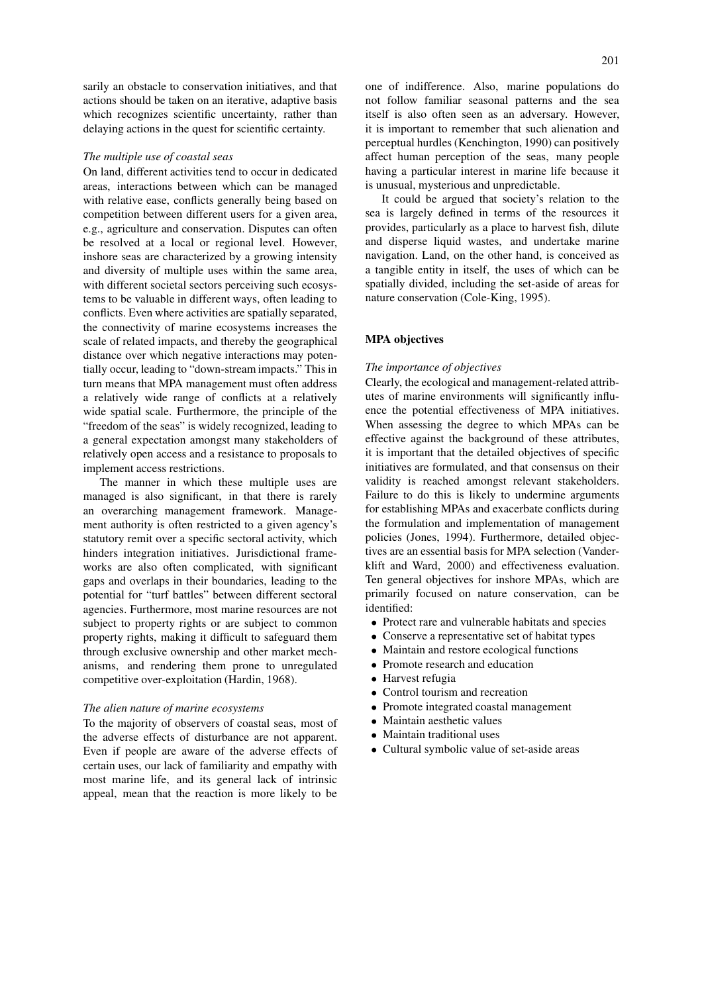sarily an obstacle to conservation initiatives, and that actions should be taken on an iterative, adaptive basis which recognizes scientific uncertainty, rather than delaying actions in the quest for scientific certainty.

#### *The multiple use of coastal seas*

On land, different activities tend to occur in dedicated areas, interactions between which can be managed with relative ease, conflicts generally being based on competition between different users for a given area, e.g., agriculture and conservation. Disputes can often be resolved at a local or regional level. However, inshore seas are characterized by a growing intensity and diversity of multiple uses within the same area, with different societal sectors perceiving such ecosystems to be valuable in different ways, often leading to conflicts. Even where activities are spatially separated, the connectivity of marine ecosystems increases the scale of related impacts, and thereby the geographical distance over which negative interactions may potentially occur, leading to "down-stream impacts." This in turn means that MPA management must often address a relatively wide range of conflicts at a relatively wide spatial scale. Furthermore, the principle of the "freedom of the seas" is widely recognized, leading to a general expectation amongst many stakeholders of relatively open access and a resistance to proposals to implement access restrictions.

The manner in which these multiple uses are managed is also significant, in that there is rarely an overarching management framework. Management authority is often restricted to a given agency's statutory remit over a specific sectoral activity, which hinders integration initiatives. Jurisdictional frameworks are also often complicated, with significant gaps and overlaps in their boundaries, leading to the potential for "turf battles" between different sectoral agencies. Furthermore, most marine resources are not subject to property rights or are subject to common property rights, making it difficult to safeguard them through exclusive ownership and other market mechanisms, and rendering them prone to unregulated competitive over-exploitation (Hardin, 1968).

# *The alien nature of marine ecosystems*

To the majority of observers of coastal seas, most of the adverse effects of disturbance are not apparent. Even if people are aware of the adverse effects of certain uses, our lack of familiarity and empathy with most marine life, and its general lack of intrinsic appeal, mean that the reaction is more likely to be

one of indifference. Also, marine populations do not follow familiar seasonal patterns and the sea itself is also often seen as an adversary. However, it is important to remember that such alienation and perceptual hurdles (Kenchington, 1990) can positively affect human perception of the seas, many people having a particular interest in marine life because it is unusual, mysterious and unpredictable.

It could be argued that society's relation to the sea is largely defined in terms of the resources it provides, particularly as a place to harvest fish, dilute and disperse liquid wastes, and undertake marine navigation. Land, on the other hand, is conceived as a tangible entity in itself, the uses of which can be spatially divided, including the set-aside of areas for nature conservation (Cole-King, 1995).

### **MPA objectives**

# *The importance of objectives*

Clearly, the ecological and management-related attributes of marine environments will significantly influence the potential effectiveness of MPA initiatives. When assessing the degree to which MPAs can be effective against the background of these attributes, it is important that the detailed objectives of specific initiatives are formulated, and that consensus on their validity is reached amongst relevant stakeholders. Failure to do this is likely to undermine arguments for establishing MPAs and exacerbate conflicts during the formulation and implementation of management policies (Jones, 1994). Furthermore, detailed objectives are an essential basis for MPA selection (Vanderklift and Ward, 2000) and effectiveness evaluation. Ten general objectives for inshore MPAs, which are primarily focused on nature conservation, can be identified:

- Protect rare and vulnerable habitats and species
- Conserve a representative set of habitat types
- Maintain and restore ecological functions
- Promote research and education<br>• Harvest refugia
- Harvest refugia<br>• Control tourism
- Control tourism and recreation<br>• Promote integrated coastal man
- Promote integrated coastal management<br>• Maintain aesthetic values
- Maintain aesthetic values
- Maintain traditional uses
- Cultural symbolic value of set-aside areas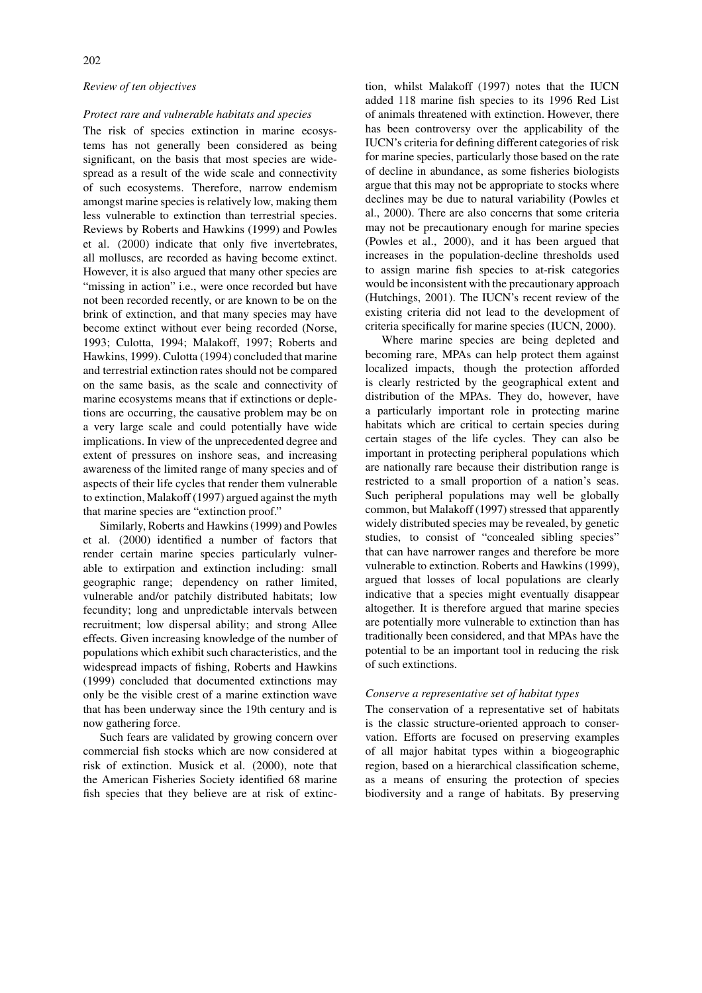# *Review of ten objectives*

## *Protect rare and vulnerable habitats and species*

The risk of species extinction in marine ecosystems has not generally been considered as being significant, on the basis that most species are widespread as a result of the wide scale and connectivity of such ecosystems. Therefore, narrow endemism amongst marine species is relatively low, making them less vulnerable to extinction than terrestrial species. Reviews by Roberts and Hawkins (1999) and Powles et al. (2000) indicate that only five invertebrates, all molluscs, are recorded as having become extinct. However, it is also argued that many other species are "missing in action" i.e., were once recorded but have not been recorded recently, or are known to be on the brink of extinction, and that many species may have become extinct without ever being recorded (Norse, 1993; Culotta, 1994; Malakoff, 1997; Roberts and Hawkins, 1999). Culotta (1994) concluded that marine and terrestrial extinction rates should not be compared on the same basis, as the scale and connectivity of marine ecosystems means that if extinctions or depletions are occurring, the causative problem may be on a very large scale and could potentially have wide implications. In view of the unprecedented degree and extent of pressures on inshore seas, and increasing awareness of the limited range of many species and of aspects of their life cycles that render them vulnerable to extinction, Malakoff (1997) argued against the myth that marine species are "extinction proof."

Similarly, Roberts and Hawkins (1999) and Powles et al. (2000) identified a number of factors that render certain marine species particularly vulnerable to extirpation and extinction including: small geographic range; dependency on rather limited, vulnerable and/or patchily distributed habitats; low fecundity; long and unpredictable intervals between recruitment; low dispersal ability; and strong Allee effects. Given increasing knowledge of the number of populations which exhibit such characteristics, and the widespread impacts of fishing, Roberts and Hawkins (1999) concluded that documented extinctions may only be the visible crest of a marine extinction wave that has been underway since the 19th century and is now gathering force.

Such fears are validated by growing concern over commercial fish stocks which are now considered at risk of extinction. Musick et al. (2000), note that the American Fisheries Society identified 68 marine fish species that they believe are at risk of extinction, whilst Malakoff (1997) notes that the IUCN added 118 marine fish species to its 1996 Red List of animals threatened with extinction. However, there has been controversy over the applicability of the IUCN's criteria for defining different categories of risk for marine species, particularly those based on the rate of decline in abundance, as some fisheries biologists argue that this may not be appropriate to stocks where declines may be due to natural variability (Powles et al., 2000). There are also concerns that some criteria may not be precautionary enough for marine species (Powles et al., 2000), and it has been argued that increases in the population-decline thresholds used to assign marine fish species to at-risk categories would be inconsistent with the precautionary approach (Hutchings, 2001). The IUCN's recent review of the existing criteria did not lead to the development of criteria specifically for marine species (IUCN, 2000).

Where marine species are being depleted and becoming rare, MPAs can help protect them against localized impacts, though the protection afforded is clearly restricted by the geographical extent and distribution of the MPAs. They do, however, have a particularly important role in protecting marine habitats which are critical to certain species during certain stages of the life cycles. They can also be important in protecting peripheral populations which are nationally rare because their distribution range is restricted to a small proportion of a nation's seas. Such peripheral populations may well be globally common, but Malakoff (1997) stressed that apparently widely distributed species may be revealed, by genetic studies, to consist of "concealed sibling species" that can have narrower ranges and therefore be more vulnerable to extinction. Roberts and Hawkins (1999), argued that losses of local populations are clearly indicative that a species might eventually disappear altogether. It is therefore argued that marine species are potentially more vulnerable to extinction than has traditionally been considered, and that MPAs have the potential to be an important tool in reducing the risk of such extinctions.

## *Conserve a representative set of habitat types*

The conservation of a representative set of habitats is the classic structure-oriented approach to conservation. Efforts are focused on preserving examples of all major habitat types within a biogeographic region, based on a hierarchical classification scheme, as a means of ensuring the protection of species biodiversity and a range of habitats. By preserving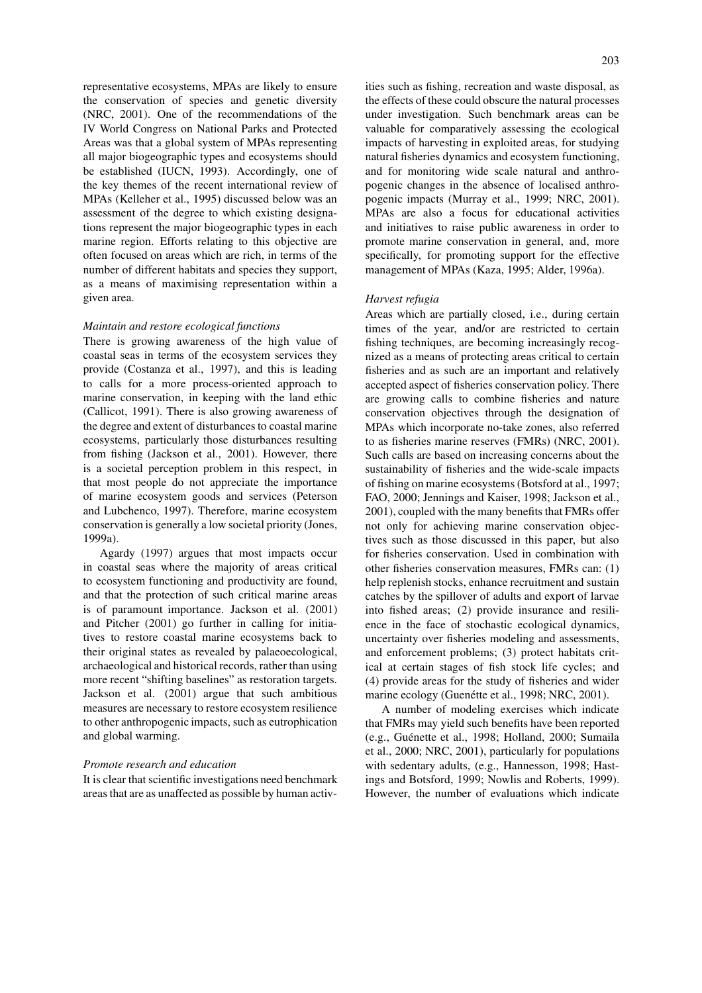representative ecosystems, MPAs are likely to ensure the conservation of species and genetic diversity (NRC, 2001). One of the recommendations of the IV World Congress on National Parks and Protected Areas was that a global system of MPAs representing all major biogeographic types and ecosystems should be established (IUCN, 1993). Accordingly, one of the key themes of the recent international review of MPAs (Kelleher et al., 1995) discussed below was an assessment of the degree to which existing designations represent the major biogeographic types in each marine region. Efforts relating to this objective are often focused on areas which are rich, in terms of the number of different habitats and species they support, as a means of maximising representation within a given area.

# *Maintain and restore ecological functions*

There is growing awareness of the high value of coastal seas in terms of the ecosystem services they provide (Costanza et al., 1997), and this is leading to calls for a more process-oriented approach to marine conservation, in keeping with the land ethic (Callicot, 1991). There is also growing awareness of the degree and extent of disturbances to coastal marine ecosystems, particularly those disturbances resulting from fishing (Jackson et al., 2001). However, there is a societal perception problem in this respect, in that most people do not appreciate the importance of marine ecosystem goods and services (Peterson and Lubchenco, 1997). Therefore, marine ecosystem conservation is generally a low societal priority (Jones, 1999a).

Agardy (1997) argues that most impacts occur in coastal seas where the majority of areas critical to ecosystem functioning and productivity are found, and that the protection of such critical marine areas is of paramount importance. Jackson et al. (2001) and Pitcher (2001) go further in calling for initiatives to restore coastal marine ecosystems back to their original states as revealed by palaeoecological, archaeological and historical records, rather than using more recent "shifting baselines" as restoration targets. Jackson et al. (2001) argue that such ambitious measures are necessary to restore ecosystem resilience to other anthropogenic impacts, such as eutrophication and global warming.

#### *Promote research and education*

It is clear that scientific investigations need benchmark areas that are as unaffected as possible by human activities such as fishing, recreation and waste disposal, as the effects of these could obscure the natural processes under investigation. Such benchmark areas can be valuable for comparatively assessing the ecological impacts of harvesting in exploited areas, for studying natural fisheries dynamics and ecosystem functioning, and for monitoring wide scale natural and anthropogenic changes in the absence of localised anthropogenic impacts (Murray et al., 1999; NRC, 2001). MPAs are also a focus for educational activities and initiatives to raise public awareness in order to promote marine conservation in general, and, more specifically, for promoting support for the effective management of MPAs (Kaza, 1995; Alder, 1996a).

#### *Harvest refugia*

Areas which are partially closed, i.e., during certain times of the year, and/or are restricted to certain fishing techniques, are becoming increasingly recognized as a means of protecting areas critical to certain fisheries and as such are an important and relatively accepted aspect of fisheries conservation policy. There are growing calls to combine fisheries and nature conservation objectives through the designation of MPAs which incorporate no-take zones, also referred to as fisheries marine reserves (FMRs) (NRC, 2001). Such calls are based on increasing concerns about the sustainability of fisheries and the wide-scale impacts of fishing on marine ecosystems (Botsford at al., 1997; FAO, 2000; Jennings and Kaiser, 1998; Jackson et al., 2001), coupled with the many benefits that FMRs offer not only for achieving marine conservation objectives such as those discussed in this paper, but also for fisheries conservation. Used in combination with other fisheries conservation measures, FMRs can: (1) help replenish stocks, enhance recruitment and sustain catches by the spillover of adults and export of larvae into fished areas; (2) provide insurance and resilience in the face of stochastic ecological dynamics, uncertainty over fisheries modeling and assessments, and enforcement problems; (3) protect habitats critical at certain stages of fish stock life cycles; and (4) provide areas for the study of fisheries and wider marine ecology (Guenétte et al., 1998; NRC, 2001).

A number of modeling exercises which indicate that FMRs may yield such benefits have been reported (e.g., Guénette et al., 1998; Holland, 2000; Sumaila et al., 2000; NRC, 2001), particularly for populations with sedentary adults, (e.g., Hannesson, 1998; Hastings and Botsford, 1999; Nowlis and Roberts, 1999). However, the number of evaluations which indicate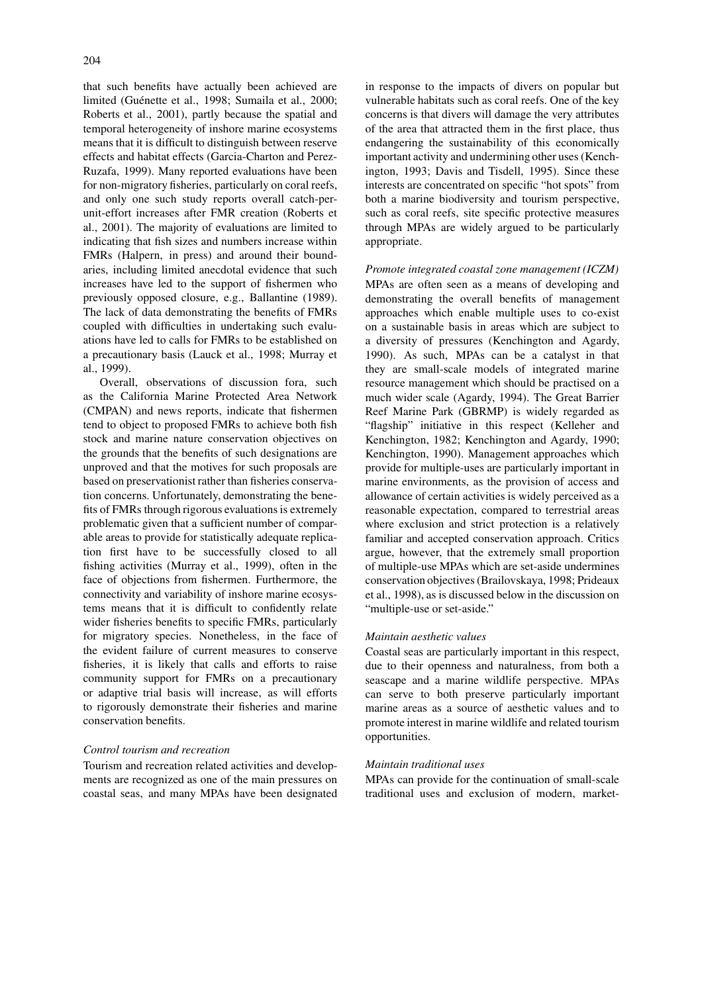that such benefits have actually been achieved are limited (Guénette et al., 1998; Sumaila et al., 2000; Roberts et al., 2001), partly because the spatial and temporal heterogeneity of inshore marine ecosystems means that it is difficult to distinguish between reserve effects and habitat effects (Garcia-Charton and Perez-Ruzafa, 1999). Many reported evaluations have been for non-migratory fisheries, particularly on coral reefs, and only one such study reports overall catch-perunit-effort increases after FMR creation (Roberts et al., 2001). The majority of evaluations are limited to indicating that fish sizes and numbers increase within FMRs (Halpern, in press) and around their boundaries, including limited anecdotal evidence that such increases have led to the support of fishermen who previously opposed closure, e.g., Ballantine (1989). The lack of data demonstrating the benefits of FMRs coupled with difficulties in undertaking such evaluations have led to calls for FMRs to be established on a precautionary basis (Lauck et al., 1998; Murray et al., 1999).

Overall, observations of discussion fora, such as the California Marine Protected Area Network (CMPAN) and news reports, indicate that fishermen tend to object to proposed FMRs to achieve both fish stock and marine nature conservation objectives on the grounds that the benefits of such designations are unproved and that the motives for such proposals are based on preservationist rather than fisheries conservation concerns. Unfortunately, demonstrating the benefits of FMRs through rigorous evaluations is extremely problematic given that a sufficient number of comparable areas to provide for statistically adequate replication first have to be successfully closed to all fishing activities (Murray et al., 1999), often in the face of objections from fishermen. Furthermore, the connectivity and variability of inshore marine ecosystems means that it is difficult to confidently relate wider fisheries benefits to specific FMRs, particularly for migratory species. Nonetheless, in the face of the evident failure of current measures to conserve fisheries, it is likely that calls and efforts to raise community support for FMRs on a precautionary or adaptive trial basis will increase, as will efforts to rigorously demonstrate their fisheries and marine conservation benefits.

### *Control tourism and recreation*

Tourism and recreation related activities and developments are recognized as one of the main pressures on coastal seas, and many MPAs have been designated in response to the impacts of divers on popular but vulnerable habitats such as coral reefs. One of the key concerns is that divers will damage the very attributes of the area that attracted them in the first place, thus endangering the sustainability of this economically important activity and undermining other uses (Kenchington, 1993; Davis and Tisdell, 1995). Since these interests are concentrated on specific "hot spots" from both a marine biodiversity and tourism perspective, such as coral reefs, site specific protective measures through MPAs are widely argued to be particularly appropriate.

# *Promote integrated coastal zone management (ICZM)*

MPAs are often seen as a means of developing and demonstrating the overall benefits of management approaches which enable multiple uses to co-exist on a sustainable basis in areas which are subject to a diversity of pressures (Kenchington and Agardy, 1990). As such, MPAs can be a catalyst in that they are small-scale models of integrated marine resource management which should be practised on a much wider scale (Agardy, 1994). The Great Barrier Reef Marine Park (GBRMP) is widely regarded as "flagship" initiative in this respect (Kelleher and Kenchington, 1982; Kenchington and Agardy, 1990; Kenchington, 1990). Management approaches which provide for multiple-uses are particularly important in marine environments, as the provision of access and allowance of certain activities is widely perceived as a reasonable expectation, compared to terrestrial areas where exclusion and strict protection is a relatively familiar and accepted conservation approach. Critics argue, however, that the extremely small proportion of multiple-use MPAs which are set-aside undermines conservation objectives (Brailovskaya, 1998; Prideaux et al., 1998), as is discussed below in the discussion on "multiple-use or set-aside."

### *Maintain aesthetic values*

Coastal seas are particularly important in this respect, due to their openness and naturalness, from both a seascape and a marine wildlife perspective. MPAs can serve to both preserve particularly important marine areas as a source of aesthetic values and to promote interest in marine wildlife and related tourism opportunities.

# *Maintain traditional uses*

MPAs can provide for the continuation of small-scale traditional uses and exclusion of modern, market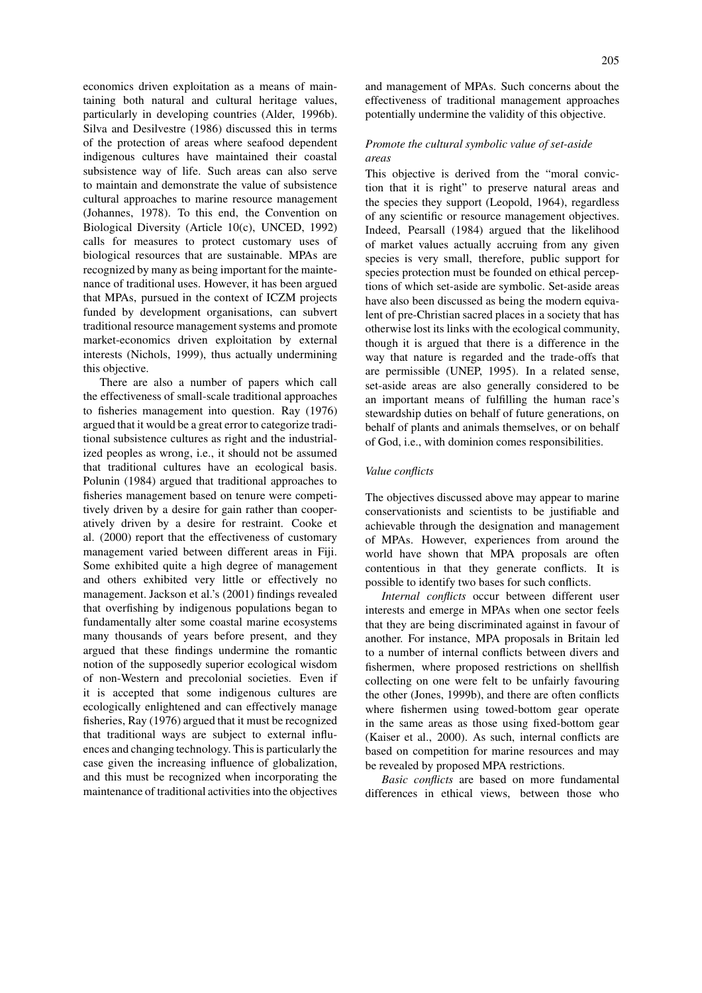economics driven exploitation as a means of maintaining both natural and cultural heritage values, particularly in developing countries (Alder, 1996b). Silva and Desilvestre (1986) discussed this in terms of the protection of areas where seafood dependent indigenous cultures have maintained their coastal subsistence way of life. Such areas can also serve to maintain and demonstrate the value of subsistence cultural approaches to marine resource management (Johannes, 1978). To this end, the Convention on Biological Diversity (Article 10(c), UNCED, 1992) calls for measures to protect customary uses of biological resources that are sustainable. MPAs are recognized by many as being important for the maintenance of traditional uses. However, it has been argued that MPAs, pursued in the context of ICZM projects funded by development organisations, can subvert traditional resource management systems and promote market-economics driven exploitation by external interests (Nichols, 1999), thus actually undermining this objective.

There are also a number of papers which call the effectiveness of small-scale traditional approaches to fisheries management into question. Ray (1976) argued that it would be a great error to categorize traditional subsistence cultures as right and the industrialized peoples as wrong, i.e., it should not be assumed that traditional cultures have an ecological basis. Polunin (1984) argued that traditional approaches to fisheries management based on tenure were competitively driven by a desire for gain rather than cooperatively driven by a desire for restraint. Cooke et al. (2000) report that the effectiveness of customary management varied between different areas in Fiji. Some exhibited quite a high degree of management and others exhibited very little or effectively no management. Jackson et al.'s (2001) findings revealed that overfishing by indigenous populations began to fundamentally alter some coastal marine ecosystems many thousands of years before present, and they argued that these findings undermine the romantic notion of the supposedly superior ecological wisdom of non-Western and precolonial societies. Even if it is accepted that some indigenous cultures are ecologically enlightened and can effectively manage fisheries, Ray (1976) argued that it must be recognized that traditional ways are subject to external influences and changing technology. This is particularly the case given the increasing influence of globalization, and this must be recognized when incorporating the maintenance of traditional activities into the objectives

and management of MPAs. Such concerns about the effectiveness of traditional management approaches potentially undermine the validity of this objective.

# *Promote the cultural symbolic value of set-aside areas*

This objective is derived from the "moral conviction that it is right" to preserve natural areas and the species they support (Leopold, 1964), regardless of any scientific or resource management objectives. Indeed, Pearsall (1984) argued that the likelihood of market values actually accruing from any given species is very small, therefore, public support for species protection must be founded on ethical perceptions of which set-aside are symbolic. Set-aside areas have also been discussed as being the modern equivalent of pre-Christian sacred places in a society that has otherwise lost its links with the ecological community, though it is argued that there is a difference in the way that nature is regarded and the trade-offs that are permissible (UNEP, 1995). In a related sense, set-aside areas are also generally considered to be an important means of fulfilling the human race's stewardship duties on behalf of future generations, on behalf of plants and animals themselves, or on behalf of God, i.e., with dominion comes responsibilities.

# *Value conflicts*

The objectives discussed above may appear to marine conservationists and scientists to be justifiable and achievable through the designation and management of MPAs. However, experiences from around the world have shown that MPA proposals are often contentious in that they generate conflicts. It is possible to identify two bases for such conflicts.

*Internal conflicts* occur between different user interests and emerge in MPAs when one sector feels that they are being discriminated against in favour of another. For instance, MPA proposals in Britain led to a number of internal conflicts between divers and fishermen, where proposed restrictions on shellfish collecting on one were felt to be unfairly favouring the other (Jones, 1999b), and there are often conflicts where fishermen using towed-bottom gear operate in the same areas as those using fixed-bottom gear (Kaiser et al., 2000). As such, internal conflicts are based on competition for marine resources and may be revealed by proposed MPA restrictions.

*Basic conflicts* are based on more fundamental differences in ethical views, between those who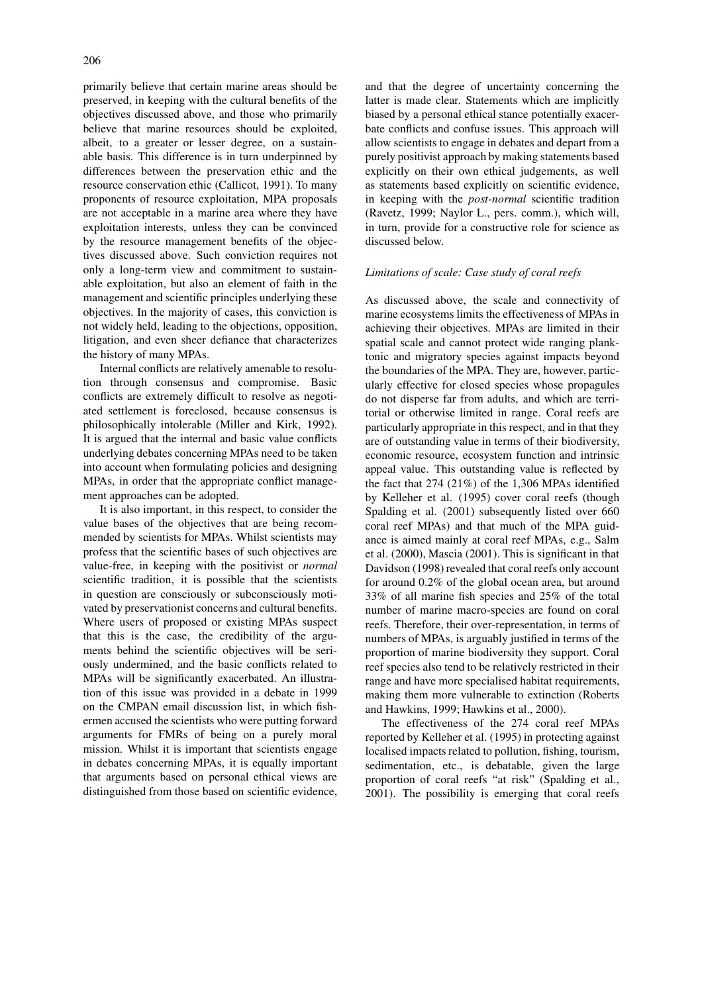primarily believe that certain marine areas should be preserved, in keeping with the cultural benefits of the objectives discussed above, and those who primarily believe that marine resources should be exploited, albeit, to a greater or lesser degree, on a sustainable basis. This difference is in turn underpinned by differences between the preservation ethic and the resource conservation ethic (Callicot, 1991). To many proponents of resource exploitation, MPA proposals are not acceptable in a marine area where they have exploitation interests, unless they can be convinced by the resource management benefits of the objectives discussed above. Such conviction requires not only a long-term view and commitment to sustainable exploitation, but also an element of faith in the management and scientific principles underlying these objectives. In the majority of cases, this conviction is not widely held, leading to the objections, opposition, litigation, and even sheer defiance that characterizes the history of many MPAs.

Internal conflicts are relatively amenable to resolution through consensus and compromise. Basic conflicts are extremely difficult to resolve as negotiated settlement is foreclosed, because consensus is philosophically intolerable (Miller and Kirk, 1992). It is argued that the internal and basic value conflicts underlying debates concerning MPAs need to be taken into account when formulating policies and designing MPAs, in order that the appropriate conflict management approaches can be adopted.

It is also important, in this respect, to consider the value bases of the objectives that are being recommended by scientists for MPAs. Whilst scientists may profess that the scientific bases of such objectives are value-free, in keeping with the positivist or *normal* scientific tradition, it is possible that the scientists in question are consciously or subconsciously motivated by preservationist concerns and cultural benefits. Where users of proposed or existing MPAs suspect that this is the case, the credibility of the arguments behind the scientific objectives will be seriously undermined, and the basic conflicts related to MPAs will be significantly exacerbated. An illustration of this issue was provided in a debate in 1999 on the CMPAN email discussion list, in which fishermen accused the scientists who were putting forward arguments for FMRs of being on a purely moral mission. Whilst it is important that scientists engage in debates concerning MPAs, it is equally important that arguments based on personal ethical views are distinguished from those based on scientific evidence,

and that the degree of uncertainty concerning the latter is made clear. Statements which are implicitly biased by a personal ethical stance potentially exacerbate conflicts and confuse issues. This approach will allow scientists to engage in debates and depart from a purely positivist approach by making statements based explicitly on their own ethical judgements, as well as statements based explicitly on scientific evidence, in keeping with the *post-normal* scientific tradition (Ravetz, 1999; Naylor L., pers. comm.), which will, in turn, provide for a constructive role for science as discussed below.

# *Limitations of scale: Case study of coral reefs*

As discussed above, the scale and connectivity of marine ecosystems limits the effectiveness of MPAs in achieving their objectives. MPAs are limited in their spatial scale and cannot protect wide ranging planktonic and migratory species against impacts beyond the boundaries of the MPA. They are, however, particularly effective for closed species whose propagules do not disperse far from adults, and which are territorial or otherwise limited in range. Coral reefs are particularly appropriate in this respect, and in that they are of outstanding value in terms of their biodiversity, economic resource, ecosystem function and intrinsic appeal value. This outstanding value is reflected by the fact that 274 (21%) of the 1,306 MPAs identified by Kelleher et al. (1995) cover coral reefs (though Spalding et al. (2001) subsequently listed over 660 coral reef MPAs) and that much of the MPA guidance is aimed mainly at coral reef MPAs, e.g., Salm et al. (2000), Mascia (2001). This is significant in that Davidson (1998) revealed that coral reefs only account for around 0.2% of the global ocean area, but around 33% of all marine fish species and 25% of the total number of marine macro-species are found on coral reefs. Therefore, their over-representation, in terms of numbers of MPAs, is arguably justified in terms of the proportion of marine biodiversity they support. Coral reef species also tend to be relatively restricted in their range and have more specialised habitat requirements, making them more vulnerable to extinction (Roberts and Hawkins, 1999; Hawkins et al., 2000).

The effectiveness of the 274 coral reef MPAs reported by Kelleher et al. (1995) in protecting against localised impacts related to pollution, fishing, tourism, sedimentation, etc., is debatable, given the large proportion of coral reefs "at risk" (Spalding et al., 2001). The possibility is emerging that coral reefs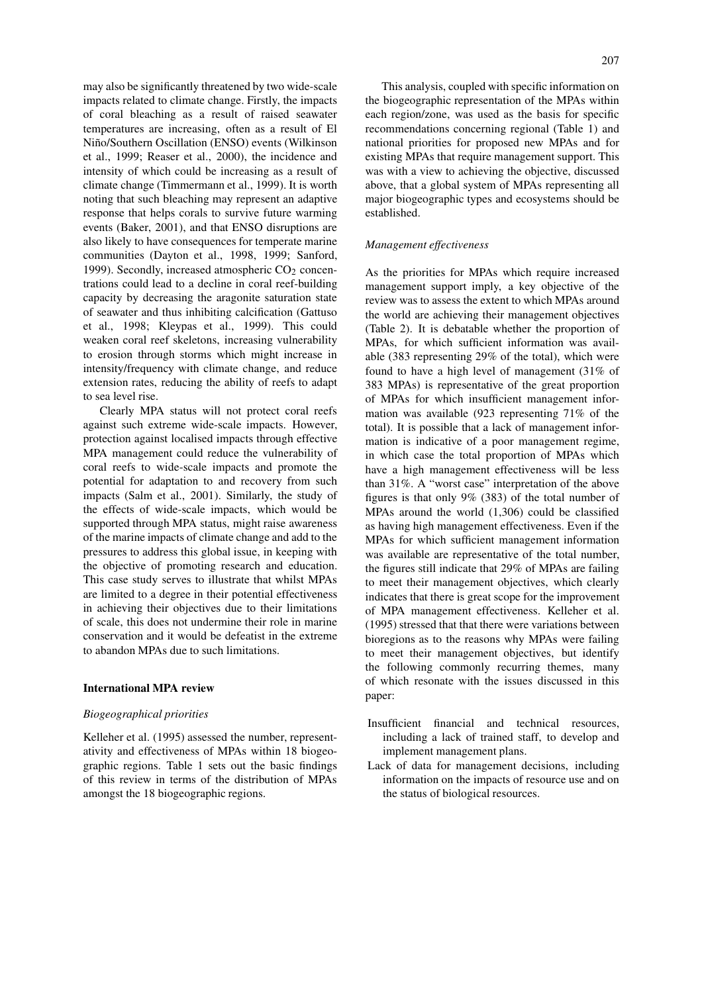may also be significantly threatened by two wide-scale impacts related to climate change. Firstly, the impacts of coral bleaching as a result of raised seawater temperatures are increasing, often as a result of El Niño/Southern Oscillation (ENSO) events (Wilkinson et al., 1999; Reaser et al., 2000), the incidence and intensity of which could be increasing as a result of climate change (Timmermann et al., 1999). It is worth noting that such bleaching may represent an adaptive response that helps corals to survive future warming events (Baker, 2001), and that ENSO disruptions are also likely to have consequences for temperate marine communities (Dayton et al., 1998, 1999; Sanford, 1999). Secondly, increased atmospheric  $CO<sub>2</sub>$  concentrations could lead to a decline in coral reef-building capacity by decreasing the aragonite saturation state of seawater and thus inhibiting calcification (Gattuso et al., 1998; Kleypas et al., 1999). This could weaken coral reef skeletons, increasing vulnerability to erosion through storms which might increase in intensity/frequency with climate change, and reduce extension rates, reducing the ability of reefs to adapt to sea level rise.

Clearly MPA status will not protect coral reefs against such extreme wide-scale impacts. However, protection against localised impacts through effective MPA management could reduce the vulnerability of coral reefs to wide-scale impacts and promote the potential for adaptation to and recovery from such impacts (Salm et al., 2001). Similarly, the study of the effects of wide-scale impacts, which would be supported through MPA status, might raise awareness of the marine impacts of climate change and add to the pressures to address this global issue, in keeping with the objective of promoting research and education. This case study serves to illustrate that whilst MPAs are limited to a degree in their potential effectiveness in achieving their objectives due to their limitations of scale, this does not undermine their role in marine conservation and it would be defeatist in the extreme to abandon MPAs due to such limitations.

# **International MPA review**

## *Biogeographical priorities*

Kelleher et al. (1995) assessed the number, representativity and effectiveness of MPAs within 18 biogeographic regions. Table 1 sets out the basic findings of this review in terms of the distribution of MPAs amongst the 18 biogeographic regions.

This analysis, coupled with specific information on the biogeographic representation of the MPAs within each region/zone, was used as the basis for specific recommendations concerning regional (Table 1) and national priorities for proposed new MPAs and for existing MPAs that require management support. This was with a view to achieving the objective, discussed above, that a global system of MPAs representing all major biogeographic types and ecosystems should be established.

# *Management effectiveness*

As the priorities for MPAs which require increased management support imply, a key objective of the review was to assess the extent to which MPAs around the world are achieving their management objectives (Table 2). It is debatable whether the proportion of MPAs, for which sufficient information was available (383 representing 29% of the total), which were found to have a high level of management (31% of 383 MPAs) is representative of the great proportion of MPAs for which insufficient management information was available (923 representing 71% of the total). It is possible that a lack of management information is indicative of a poor management regime, in which case the total proportion of MPAs which have a high management effectiveness will be less than 31%. A "worst case" interpretation of the above figures is that only 9% (383) of the total number of MPAs around the world (1,306) could be classified as having high management effectiveness. Even if the MPAs for which sufficient management information was available are representative of the total number, the figures still indicate that 29% of MPAs are failing to meet their management objectives, which clearly indicates that there is great scope for the improvement of MPA management effectiveness. Kelleher et al. (1995) stressed that that there were variations between bioregions as to the reasons why MPAs were failing to meet their management objectives, but identify the following commonly recurring themes, many of which resonate with the issues discussed in this paper:

- Insufficient financial and technical resources, including a lack of trained staff, to develop and implement management plans.
- Lack of data for management decisions, including information on the impacts of resource use and on the status of biological resources.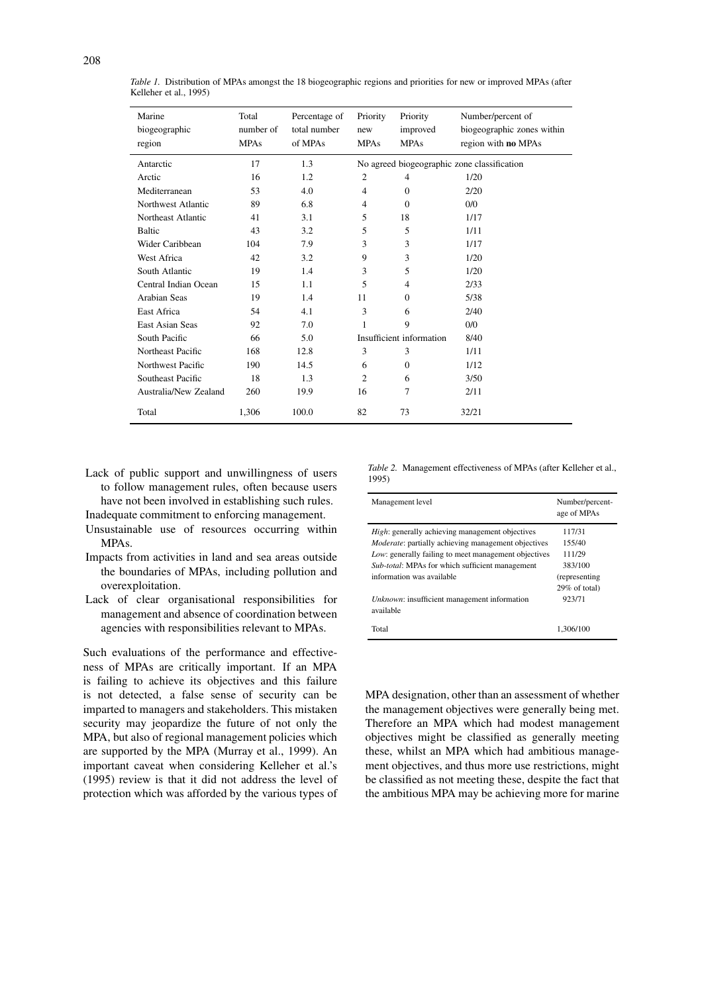*Table 1.* Distribution of MPAs amongst the 18 biogeographic regions and priorities for new or improved MPAs (after Kelleher et al., 1995)

| Marine<br>biogeographic<br>region | Total<br>number of<br><b>MPAs</b> | Percentage of<br>total number<br>of MPAs | Priority<br>new<br><b>MPAs</b>              | Priority<br>improved<br><b>MPAs</b> | Number/percent of<br>biogeographic zones within<br>region with no MPAs |  |  |
|-----------------------------------|-----------------------------------|------------------------------------------|---------------------------------------------|-------------------------------------|------------------------------------------------------------------------|--|--|
| Antarctic                         | 17                                | 1.3                                      | No agreed biogeographic zone classification |                                     |                                                                        |  |  |
| Arctic                            | 16                                | 1.2                                      | 2                                           | 4                                   | 1/20                                                                   |  |  |
| Mediterranean                     | 53                                | 4.0                                      | 4                                           | $\theta$                            | 2/20                                                                   |  |  |
| Northwest Atlantic                | 89                                | 6.8                                      | 4                                           | $\Omega$                            | 0/0                                                                    |  |  |
| Northeast Atlantic                | 41                                | 3.1                                      | 5                                           | 18                                  | 1/17                                                                   |  |  |
| Baltic                            | 43                                | 3.2                                      | 5                                           | 5                                   | 1/11                                                                   |  |  |
| Wider Caribbean                   | 104                               | 7.9                                      | 3                                           | 3                                   | 1/17                                                                   |  |  |
| West Africa                       | 42                                | 3.2                                      | 9                                           | 3                                   | 1/20                                                                   |  |  |
| South Atlantic                    | 19                                | 1.4                                      | 3                                           | 5                                   | 1/20                                                                   |  |  |
| Central Indian Ocean              | 15                                | 1.1                                      | 5                                           | 4                                   | 2/33                                                                   |  |  |
| Arabian Seas                      | 19                                | 1.4                                      | 11                                          | $\Omega$                            | 5/38                                                                   |  |  |
| East Africa                       | 54                                | 4.1                                      | 3                                           | 6                                   | 2/40                                                                   |  |  |
| <b>East Asian Seas</b>            | 92                                | 7.0                                      | 1                                           | 9                                   | 0/0                                                                    |  |  |
| South Pacific                     | 66                                | 5.0                                      |                                             | Insufficient information            | 8/40                                                                   |  |  |
| Northeast Pacific                 | 168                               | 12.8                                     | 3                                           | 3                                   | 1/11                                                                   |  |  |
| Northwest Pacific                 | 190                               | 14.5                                     | 6                                           | $\Omega$                            | 1/12                                                                   |  |  |
| Southeast Pacific                 | 18                                | 1.3                                      | $\overline{c}$                              | 6                                   | 3/50                                                                   |  |  |
| Australia/New Zealand             | 260                               | 19.9                                     | 16                                          | 7                                   | 2/11                                                                   |  |  |
| Total                             | 1,306                             | 100.0                                    | 82                                          | 73                                  | 32/21                                                                  |  |  |

Lack of public support and unwillingness of users to follow management rules, often because users have not been involved in establishing such rules.

Inadequate commitment to enforcing management.

- Unsustainable use of resources occurring within MPAs.
- Impacts from activities in land and sea areas outside the boundaries of MPAs, including pollution and overexploitation.
- Lack of clear organisational responsibilities for management and absence of coordination between agencies with responsibilities relevant to MPAs.

Such evaluations of the performance and effectiveness of MPAs are critically important. If an MPA is failing to achieve its objectives and this failure is not detected, a false sense of security can be imparted to managers and stakeholders. This mistaken security may jeopardize the future of not only the MPA, but also of regional management policies which are supported by the MPA (Murray et al., 1999). An important caveat when considering Kelleher et al.'s (1995) review is that it did not address the level of protection which was afforded by the various types of *Table 2.* Management effectiveness of MPAs (after Kelleher et al., 1995)

| Management level                                           | Number/percent-<br>age of MPAs |
|------------------------------------------------------------|--------------------------------|
| <i>High</i> : generally achieving management objectives    | 117/31                         |
| <i>Moderate:</i> partially achieving management objectives | 155/40                         |
| Low: generally failing to meet management objectives       | 111/29                         |
| Sub-total: MPAs for which sufficient management            | 383/100                        |
| information was available                                  | (representing)                 |
|                                                            | 29% of total)                  |
| Unknown: insufficient management information               | 923/71                         |
| available                                                  |                                |
| Total                                                      | 1.306/100                      |

MPA designation, other than an assessment of whether the management objectives were generally being met. Therefore an MPA which had modest management objectives might be classified as generally meeting these, whilst an MPA which had ambitious management objectives, and thus more use restrictions, might be classified as not meeting these, despite the fact that the ambitious MPA may be achieving more for marine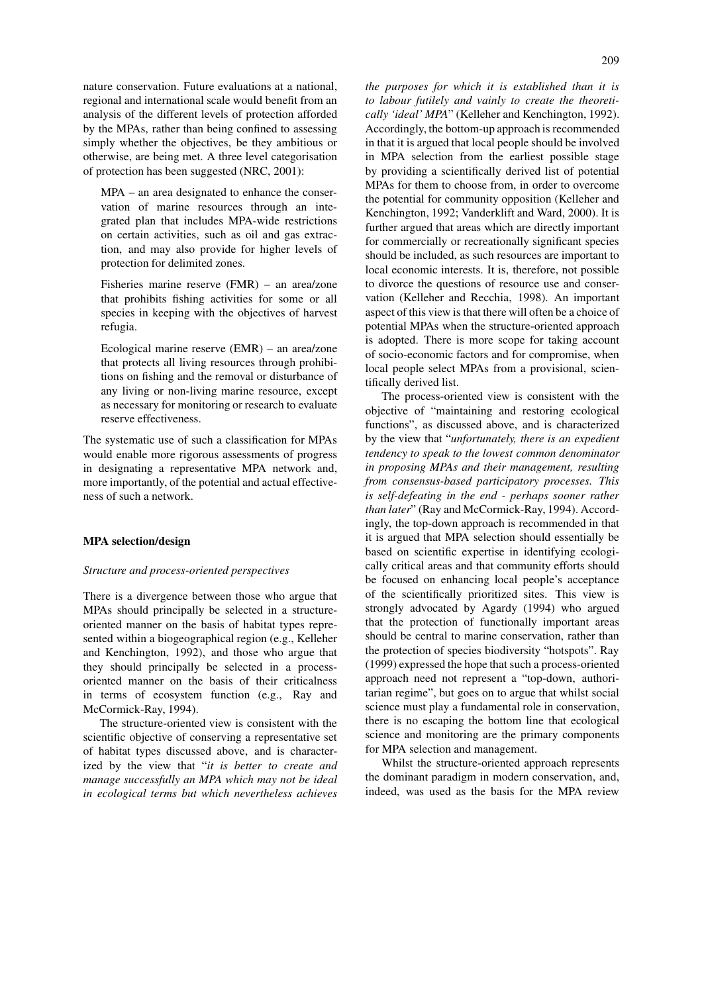nature conservation. Future evaluations at a national, regional and international scale would benefit from an analysis of the different levels of protection afforded by the MPAs, rather than being confined to assessing simply whether the objectives, be they ambitious or otherwise, are being met. A three level categorisation of protection has been suggested (NRC, 2001):

MPA – an area designated to enhance the conservation of marine resources through an integrated plan that includes MPA-wide restrictions on certain activities, such as oil and gas extraction, and may also provide for higher levels of protection for delimited zones.

Fisheries marine reserve (FMR) – an area/zone that prohibits fishing activities for some or all species in keeping with the objectives of harvest refugia.

Ecological marine reserve (EMR) – an area/zone that protects all living resources through prohibitions on fishing and the removal or disturbance of any living or non-living marine resource, except as necessary for monitoring or research to evaluate reserve effectiveness.

The systematic use of such a classification for MPAs would enable more rigorous assessments of progress in designating a representative MPA network and, more importantly, of the potential and actual effectiveness of such a network.

### **MPA selection/design**

#### *Structure and process-oriented perspectives*

There is a divergence between those who argue that MPAs should principally be selected in a structureoriented manner on the basis of habitat types represented within a biogeographical region (e.g., Kelleher and Kenchington, 1992), and those who argue that they should principally be selected in a processoriented manner on the basis of their criticalness in terms of ecosystem function (e.g., Ray and McCormick-Ray, 1994).

The structure-oriented view is consistent with the scientific objective of conserving a representative set of habitat types discussed above, and is characterized by the view that "*it is better to create and manage successfully an MPA which may not be ideal in ecological terms but which nevertheless achieves* *the purposes for which it is established than it is to labour futilely and vainly to create the theoretically 'ideal' MPA*" (Kelleher and Kenchington, 1992). Accordingly, the bottom-up approach is recommended in that it is argued that local people should be involved in MPA selection from the earliest possible stage by providing a scientifically derived list of potential MPAs for them to choose from, in order to overcome the potential for community opposition (Kelleher and Kenchington, 1992; Vanderklift and Ward, 2000). It is further argued that areas which are directly important for commercially or recreationally significant species should be included, as such resources are important to local economic interests. It is, therefore, not possible to divorce the questions of resource use and conservation (Kelleher and Recchia, 1998). An important aspect of this view is that there will often be a choice of potential MPAs when the structure-oriented approach is adopted. There is more scope for taking account of socio-economic factors and for compromise, when local people select MPAs from a provisional, scientifically derived list.

The process-oriented view is consistent with the objective of "maintaining and restoring ecological functions", as discussed above, and is characterized by the view that "*unfortunately, there is an expedient tendency to speak to the lowest common denominator in proposing MPAs and their management, resulting from consensus-based participatory processes. This is self-defeating in the end - perhaps sooner rather than later*" (Ray and McCormick-Ray, 1994). Accordingly, the top-down approach is recommended in that it is argued that MPA selection should essentially be based on scientific expertise in identifying ecologically critical areas and that community efforts should be focused on enhancing local people's acceptance of the scientifically prioritized sites. This view is strongly advocated by Agardy (1994) who argued that the protection of functionally important areas should be central to marine conservation, rather than the protection of species biodiversity "hotspots". Ray (1999) expressed the hope that such a process-oriented approach need not represent a "top-down, authoritarian regime", but goes on to argue that whilst social science must play a fundamental role in conservation, there is no escaping the bottom line that ecological science and monitoring are the primary components for MPA selection and management.

Whilst the structure-oriented approach represents the dominant paradigm in modern conservation, and, indeed, was used as the basis for the MPA review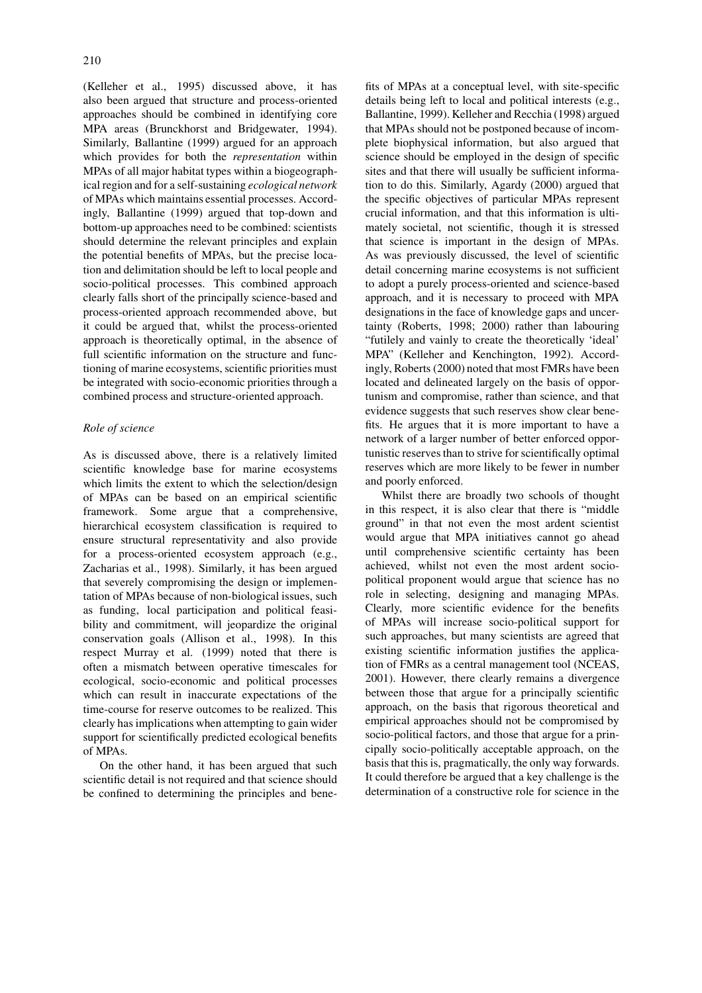(Kelleher et al., 1995) discussed above, it has also been argued that structure and process-oriented approaches should be combined in identifying core MPA areas (Brunckhorst and Bridgewater, 1994). Similarly, Ballantine (1999) argued for an approach which provides for both the *representation* within MPAs of all major habitat types within a biogeographical region and for a self-sustaining *ecological network* of MPAs which maintains essential processes. Accordingly, Ballantine (1999) argued that top-down and bottom-up approaches need to be combined: scientists should determine the relevant principles and explain the potential benefits of MPAs, but the precise location and delimitation should be left to local people and socio-political processes. This combined approach clearly falls short of the principally science-based and process-oriented approach recommended above, but it could be argued that, whilst the process-oriented approach is theoretically optimal, in the absence of full scientific information on the structure and functioning of marine ecosystems, scientific priorities must be integrated with socio-economic priorities through a combined process and structure-oriented approach.

# *Role of science*

As is discussed above, there is a relatively limited scientific knowledge base for marine ecosystems which limits the extent to which the selection/design of MPAs can be based on an empirical scientific framework. Some argue that a comprehensive, hierarchical ecosystem classification is required to ensure structural representativity and also provide for a process-oriented ecosystem approach (e.g., Zacharias et al., 1998). Similarly, it has been argued that severely compromising the design or implementation of MPAs because of non-biological issues, such as funding, local participation and political feasibility and commitment, will jeopardize the original conservation goals (Allison et al., 1998). In this respect Murray et al. (1999) noted that there is often a mismatch between operative timescales for ecological, socio-economic and political processes which can result in inaccurate expectations of the time-course for reserve outcomes to be realized. This clearly has implications when attempting to gain wider support for scientifically predicted ecological benefits of MPAs.

On the other hand, it has been argued that such scientific detail is not required and that science should be confined to determining the principles and benefits of MPAs at a conceptual level, with site-specific details being left to local and political interests (e.g., Ballantine, 1999). Kelleher and Recchia (1998) argued that MPAs should not be postponed because of incomplete biophysical information, but also argued that science should be employed in the design of specific sites and that there will usually be sufficient information to do this. Similarly, Agardy (2000) argued that the specific objectives of particular MPAs represent crucial information, and that this information is ultimately societal, not scientific, though it is stressed that science is important in the design of MPAs. As was previously discussed, the level of scientific detail concerning marine ecosystems is not sufficient to adopt a purely process-oriented and science-based approach, and it is necessary to proceed with MPA designations in the face of knowledge gaps and uncertainty (Roberts, 1998; 2000) rather than labouring "futilely and vainly to create the theoretically 'ideal' MPA" (Kelleher and Kenchington, 1992). Accordingly, Roberts (2000) noted that most FMRs have been located and delineated largely on the basis of opportunism and compromise, rather than science, and that evidence suggests that such reserves show clear benefits. He argues that it is more important to have a network of a larger number of better enforced opportunistic reserves than to strive for scientifically optimal reserves which are more likely to be fewer in number and poorly enforced.

Whilst there are broadly two schools of thought in this respect, it is also clear that there is "middle ground" in that not even the most ardent scientist would argue that MPA initiatives cannot go ahead until comprehensive scientific certainty has been achieved, whilst not even the most ardent sociopolitical proponent would argue that science has no role in selecting, designing and managing MPAs. Clearly, more scientific evidence for the benefits of MPAs will increase socio-political support for such approaches, but many scientists are agreed that existing scientific information justifies the application of FMRs as a central management tool (NCEAS, 2001). However, there clearly remains a divergence between those that argue for a principally scientific approach, on the basis that rigorous theoretical and empirical approaches should not be compromised by socio-political factors, and those that argue for a principally socio-politically acceptable approach, on the basis that this is, pragmatically, the only way forwards. It could therefore be argued that a key challenge is the determination of a constructive role for science in the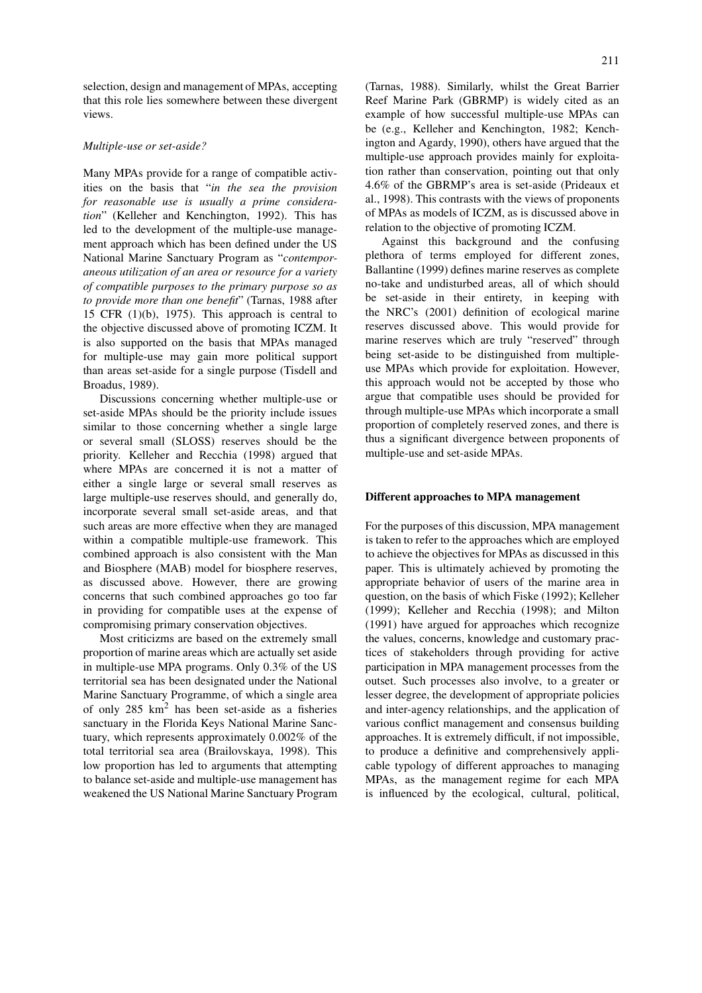selection, design and management of MPAs, accepting that this role lies somewhere between these divergent views.

# *Multiple-use or set-aside?*

Many MPAs provide for a range of compatible activities on the basis that "*in the sea the provision for reasonable use is usually a prime consideration*" (Kelleher and Kenchington, 1992). This has led to the development of the multiple-use management approach which has been defined under the US National Marine Sanctuary Program as "*contemporaneous utilization of an area or resource for a variety of compatible purposes to the primary purpose so as to provide more than one benefit*" (Tarnas, 1988 after 15 CFR (1)(b), 1975). This approach is central to the objective discussed above of promoting ICZM. It is also supported on the basis that MPAs managed for multiple-use may gain more political support than areas set-aside for a single purpose (Tisdell and Broadus, 1989).

Discussions concerning whether multiple-use or set-aside MPAs should be the priority include issues similar to those concerning whether a single large or several small (SLOSS) reserves should be the priority. Kelleher and Recchia (1998) argued that where MPAs are concerned it is not a matter of either a single large or several small reserves as large multiple-use reserves should, and generally do, incorporate several small set-aside areas, and that such areas are more effective when they are managed within a compatible multiple-use framework. This combined approach is also consistent with the Man and Biosphere (MAB) model for biosphere reserves, as discussed above. However, there are growing concerns that such combined approaches go too far in providing for compatible uses at the expense of compromising primary conservation objectives.

Most criticizms are based on the extremely small proportion of marine areas which are actually set aside in multiple-use MPA programs. Only 0.3% of the US territorial sea has been designated under the National Marine Sanctuary Programme, of which a single area of only 285 km<sup>2</sup> has been set-aside as a fisheries sanctuary in the Florida Keys National Marine Sanctuary, which represents approximately 0.002% of the total territorial sea area (Brailovskaya, 1998). This low proportion has led to arguments that attempting to balance set-aside and multiple-use management has weakened the US National Marine Sanctuary Program

(Tarnas, 1988). Similarly, whilst the Great Barrier Reef Marine Park (GBRMP) is widely cited as an example of how successful multiple-use MPAs can be (e.g., Kelleher and Kenchington, 1982; Kenchington and Agardy, 1990), others have argued that the multiple-use approach provides mainly for exploitation rather than conservation, pointing out that only 4.6% of the GBRMP's area is set-aside (Prideaux et al., 1998). This contrasts with the views of proponents of MPAs as models of ICZM, as is discussed above in relation to the objective of promoting ICZM.

Against this background and the confusing plethora of terms employed for different zones, Ballantine (1999) defines marine reserves as complete no-take and undisturbed areas, all of which should be set-aside in their entirety, in keeping with the NRC's (2001) definition of ecological marine reserves discussed above. This would provide for marine reserves which are truly "reserved" through being set-aside to be distinguished from multipleuse MPAs which provide for exploitation. However, this approach would not be accepted by those who argue that compatible uses should be provided for through multiple-use MPAs which incorporate a small proportion of completely reserved zones, and there is thus a significant divergence between proponents of multiple-use and set-aside MPAs.

# **Different approaches to MPA management**

For the purposes of this discussion, MPA management is taken to refer to the approaches which are employed to achieve the objectives for MPAs as discussed in this paper. This is ultimately achieved by promoting the appropriate behavior of users of the marine area in question, on the basis of which Fiske (1992); Kelleher (1999); Kelleher and Recchia (1998); and Milton (1991) have argued for approaches which recognize the values, concerns, knowledge and customary practices of stakeholders through providing for active participation in MPA management processes from the outset. Such processes also involve, to a greater or lesser degree, the development of appropriate policies and inter-agency relationships, and the application of various conflict management and consensus building approaches. It is extremely difficult, if not impossible, to produce a definitive and comprehensively applicable typology of different approaches to managing MPAs, as the management regime for each MPA is influenced by the ecological, cultural, political,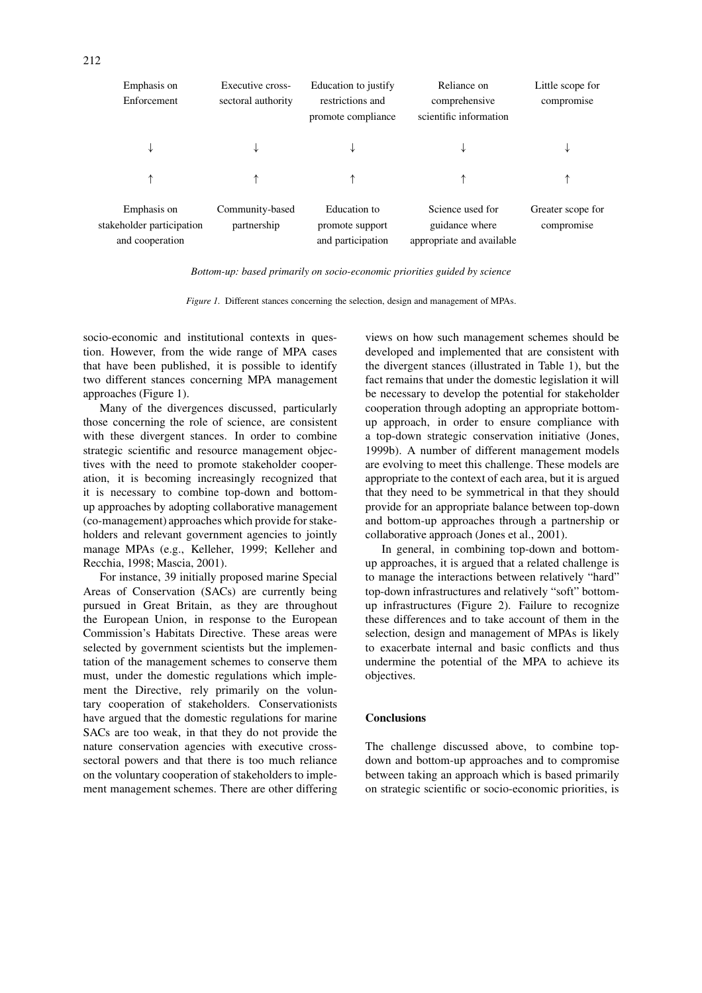| Emphasis on<br>Enforcement                                  | Executive cross-<br>sectoral authority | Education to justify<br>restrictions and<br>promote compliance | Reliance on<br>comprehensive<br>scientific information          | Little scope for<br>compromise  |  |
|-------------------------------------------------------------|----------------------------------------|----------------------------------------------------------------|-----------------------------------------------------------------|---------------------------------|--|
| ↓                                                           |                                        | ◡                                                              |                                                                 | ↓                               |  |
| ↑                                                           |                                        |                                                                |                                                                 | ↑                               |  |
| Emphasis on<br>stakeholder participation<br>and cooperation | Community-based<br>partnership         | Education to<br>promote support<br>and participation           | Science used for<br>guidance where<br>appropriate and available | Greater scope for<br>compromise |  |

*Bottom-up: based primarily on socio-economic priorities guided by science*

*Figure 1.* Different stances concerning the selection, design and management of MPAs.

socio-economic and institutional contexts in question. However, from the wide range of MPA cases that have been published, it is possible to identify two different stances concerning MPA management approaches (Figure 1).

Many of the divergences discussed, particularly those concerning the role of science, are consistent with these divergent stances. In order to combine strategic scientific and resource management objectives with the need to promote stakeholder cooperation, it is becoming increasingly recognized that it is necessary to combine top-down and bottomup approaches by adopting collaborative management (co-management) approaches which provide for stakeholders and relevant government agencies to jointly manage MPAs (e.g., Kelleher, 1999; Kelleher and Recchia, 1998; Mascia, 2001).

For instance, 39 initially proposed marine Special Areas of Conservation (SACs) are currently being pursued in Great Britain, as they are throughout the European Union, in response to the European Commission's Habitats Directive. These areas were selected by government scientists but the implementation of the management schemes to conserve them must, under the domestic regulations which implement the Directive, rely primarily on the voluntary cooperation of stakeholders. Conservationists have argued that the domestic regulations for marine SACs are too weak, in that they do not provide the nature conservation agencies with executive crosssectoral powers and that there is too much reliance on the voluntary cooperation of stakeholders to implement management schemes. There are other differing views on how such management schemes should be developed and implemented that are consistent with the divergent stances (illustrated in Table 1), but the fact remains that under the domestic legislation it will be necessary to develop the potential for stakeholder cooperation through adopting an appropriate bottomup approach, in order to ensure compliance with a top-down strategic conservation initiative (Jones, 1999b). A number of different management models are evolving to meet this challenge. These models are appropriate to the context of each area, but it is argued that they need to be symmetrical in that they should provide for an appropriate balance between top-down and bottom-up approaches through a partnership or collaborative approach (Jones et al., 2001).

In general, in combining top-down and bottomup approaches, it is argued that a related challenge is to manage the interactions between relatively "hard" top-down infrastructures and relatively "soft" bottomup infrastructures (Figure 2). Failure to recognize these differences and to take account of them in the selection, design and management of MPAs is likely to exacerbate internal and basic conflicts and thus undermine the potential of the MPA to achieve its objectives.

# **Conclusions**

The challenge discussed above, to combine topdown and bottom-up approaches and to compromise between taking an approach which is based primarily on strategic scientific or socio-economic priorities, is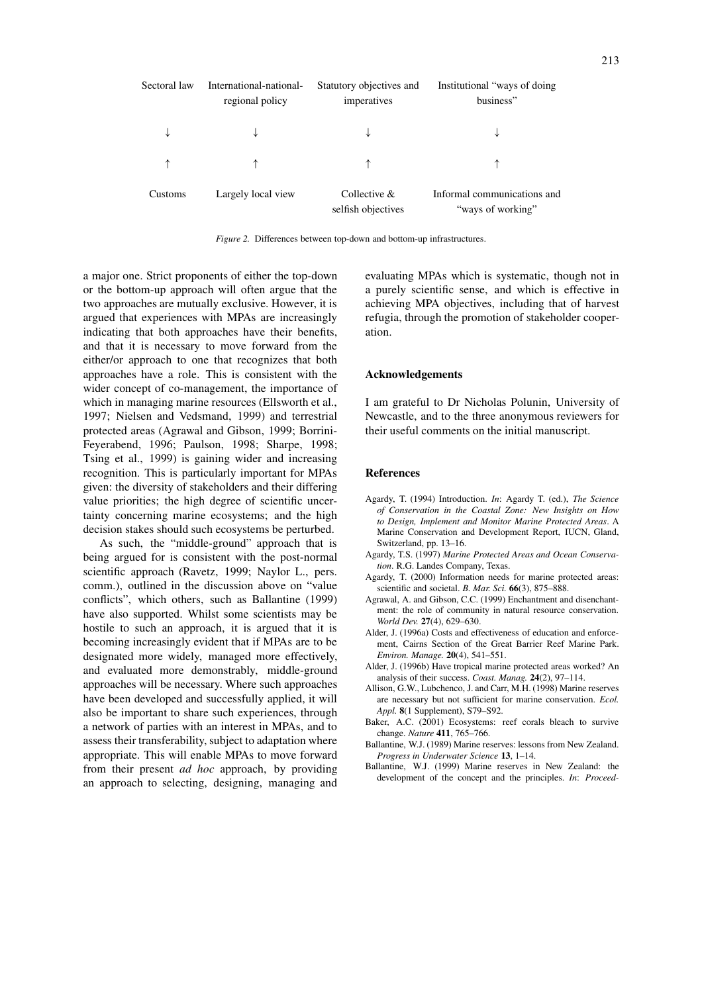

*Figure 2.* Differences between top-down and bottom-up infrastructures.

a major one. Strict proponents of either the top-down or the bottom-up approach will often argue that the two approaches are mutually exclusive. However, it is argued that experiences with MPAs are increasingly indicating that both approaches have their benefits, and that it is necessary to move forward from the either/or approach to one that recognizes that both approaches have a role. This is consistent with the wider concept of co-management, the importance of which in managing marine resources (Ellsworth et al., 1997; Nielsen and Vedsmand, 1999) and terrestrial protected areas (Agrawal and Gibson, 1999; Borrini-Feyerabend, 1996; Paulson, 1998; Sharpe, 1998; Tsing et al., 1999) is gaining wider and increasing recognition. This is particularly important for MPAs given: the diversity of stakeholders and their differing value priorities; the high degree of scientific uncertainty concerning marine ecosystems; and the high decision stakes should such ecosystems be perturbed.

As such, the "middle-ground" approach that is being argued for is consistent with the post-normal scientific approach (Ravetz, 1999; Naylor L., pers. comm.), outlined in the discussion above on "value conflicts", which others, such as Ballantine (1999) have also supported. Whilst some scientists may be hostile to such an approach, it is argued that it is becoming increasingly evident that if MPAs are to be designated more widely, managed more effectively, and evaluated more demonstrably, middle-ground approaches will be necessary. Where such approaches have been developed and successfully applied, it will also be important to share such experiences, through a network of parties with an interest in MPAs, and to assess their transferability, subject to adaptation where appropriate. This will enable MPAs to move forward from their present *ad hoc* approach, by providing an approach to selecting, designing, managing and

evaluating MPAs which is systematic, though not in a purely scientific sense, and which is effective in achieving MPA objectives, including that of harvest refugia, through the promotion of stakeholder cooperation.

# **Acknowledgements**

I am grateful to Dr Nicholas Polunin, University of Newcastle, and to the three anonymous reviewers for their useful comments on the initial manuscript.

# **References**

- Agardy, T. (1994) Introduction. *In*: Agardy T. (ed.), *The Science of Conservation in the Coastal Zone: New Insights on How to Design, Implement and Monitor Marine Protected Areas*. A Marine Conservation and Development Report, IUCN, Gland, Switzerland, pp. 13–16.
- Agardy, T.S. (1997) *Marine Protected Areas and Ocean Conservation*. R.G. Landes Company, Texas.
- Agardy, T. (2000) Information needs for marine protected areas: scientific and societal. *B. Mar. Sci.* **66**(3), 875–888.
- Agrawal, A. and Gibson, C.C. (1999) Enchantment and disenchantment: the role of community in natural resource conservation. *World Dev.* **27**(4), 629–630.
- Alder, J. (1996a) Costs and effectiveness of education and enforcement, Cairns Section of the Great Barrier Reef Marine Park. *Environ. Manage.* **20**(4), 541–551.
- Alder, J. (1996b) Have tropical marine protected areas worked? An analysis of their success. *Coast. Manag.* **24**(2), 97–114.
- Allison, G.W., Lubchenco, J. and Carr, M.H. (1998) Marine reserves are necessary but not sufficient for marine conservation. *Ecol. Appl.* **8**(1 Supplement), S79–S92.
- Baker, A.C. (2001) Ecosystems: reef corals bleach to survive change. *Nature* **411**, 765–766.
- Ballantine, W.J. (1989) Marine reserves: lessons from New Zealand. *Progress in Underwater Science* **13**, 1–14.
- Ballantine, W.J. (1999) Marine reserves in New Zealand: the development of the concept and the principles. *In*: *Proceed-*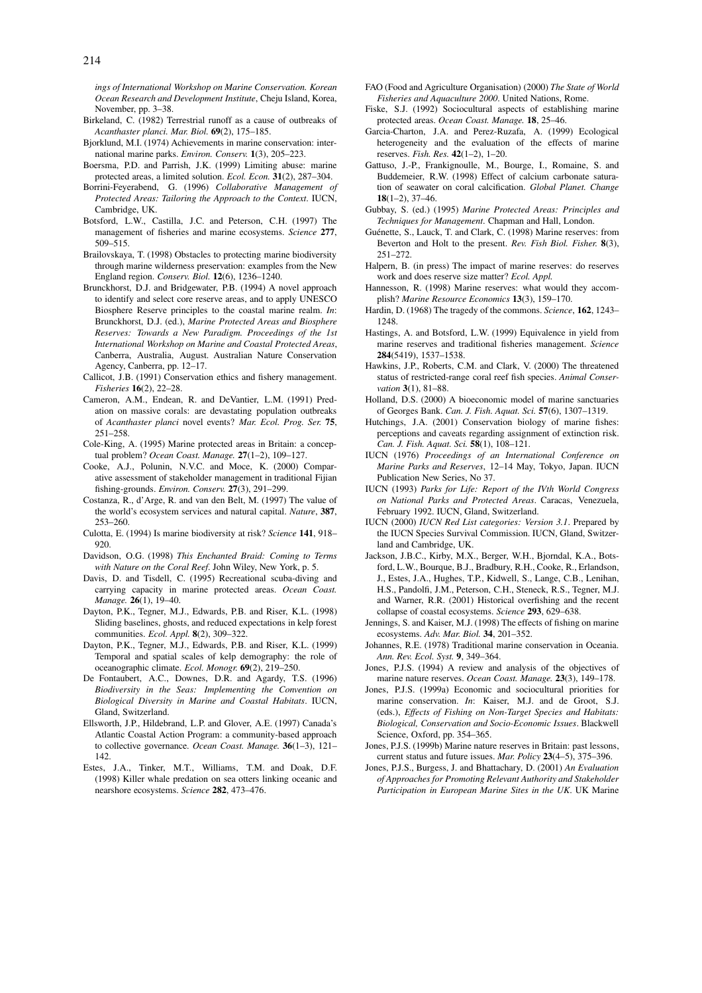*ings of International Workshop on Marine Conservation. Korean Ocean Research and Development Institute*, Cheju Island, Korea, November, pp. 3–38.

- Birkeland, C. (1982) Terrestrial runoff as a cause of outbreaks of *Acanthaster planci. Mar. Biol.* **69**(2), 175–185.
- Bjorklund, M.I. (1974) Achievements in marine conservation: international marine parks. *Environ. Conserv.* **1**(3), 205–223.
- Boersma, P.D. and Parrish, J.K. (1999) Limiting abuse: marine protected areas, a limited solution. *Ecol. Econ.* **31**(2), 287–304.
- Borrini-Feyerabend, G. (1996) *Collaborative Management of Protected Areas: Tailoring the Approach to the Context*. IUCN, Cambridge, UK.
- Botsford, L.W., Castilla, J.C. and Peterson, C.H. (1997) The management of fisheries and marine ecosystems. *Science* **277**, 509–515.
- Brailovskaya, T. (1998) Obstacles to protecting marine biodiversity through marine wilderness preservation: examples from the New England region. *Conserv. Biol.* **12**(6), 1236–1240.
- Brunckhorst, D.J. and Bridgewater, P.B. (1994) A novel approach to identify and select core reserve areas, and to apply UNESCO Biosphere Reserve principles to the coastal marine realm. *In*: Brunckhorst, D.J. (ed.), *Marine Protected Areas and Biosphere Reserves: Towards a New Paradigm. Proceedings of the 1st International Workshop on Marine and Coastal Protected Areas*, Canberra, Australia, August. Australian Nature Conservation Agency, Canberra, pp. 12–17.
- Callicot, J.B. (1991) Conservation ethics and fishery management. *Fisheries* **16**(2), 22–28.
- Cameron, A.M., Endean, R. and DeVantier, L.M. (1991) Predation on massive corals: are devastating population outbreaks of *Acanthaster planci* novel events? *Mar. Ecol. Prog. Ser.* **75**, 251–258.
- Cole-King, A. (1995) Marine protected areas in Britain: a conceptual problem? *Ocean Coast. Manage.* **27**(1–2), 109–127.
- Cooke, A.J., Polunin, N.V.C. and Moce, K. (2000) Comparative assessment of stakeholder management in traditional Fijian fishing-grounds. *Environ. Conserv.* **27**(3), 291–299.
- Costanza, R., d'Arge, R. and van den Belt, M. (1997) The value of the world's ecosystem services and natural capital. *Nature*, **387**, 253–260.
- Culotta, E. (1994) Is marine biodiversity at risk? *Science* **141**, 918– 920.
- Davidson, O.G. (1998) *This Enchanted Braid: Coming to Terms with Nature on the Coral Reef*. John Wiley, New York, p. 5.
- Davis, D. and Tisdell, C. (1995) Recreational scuba-diving and carrying capacity in marine protected areas. *Ocean Coast. Manage.* **26**(1), 19–40.
- Dayton, P.K., Tegner, M.J., Edwards, P.B. and Riser, K.L. (1998) Sliding baselines, ghosts, and reduced expectations in kelp forest communities. *Ecol. Appl.* **8**(2), 309–322.
- Dayton, P.K., Tegner, M.J., Edwards, P.B. and Riser, K.L. (1999) Temporal and spatial scales of kelp demography: the role of oceanographic climate. *Ecol. Monogr.* **69**(2), 219–250.
- De Fontaubert, A.C., Downes, D.R. and Agardy, T.S. (1996) *Biodiversity in the Seas: Implementing the Convention on Biological Diversity in Marine and Coastal Habitats*. IUCN, Gland, Switzerland.
- Ellsworth, J.P., Hildebrand, L.P. and Glover, A.E. (1997) Canada's Atlantic Coastal Action Program: a community-based approach to collective governance. *Ocean Coast. Manage.* **36**(1–3), 121– 142.
- Estes, J.A., Tinker, M.T., Williams, T.M. and Doak, D.F. (1998) Killer whale predation on sea otters linking oceanic and nearshore ecosystems. *Science* **282**, 473–476.
- FAO (Food and Agriculture Organisation) (2000) *The State of World Fisheries and Aquaculture 2000*. United Nations, Rome.
- Fiske, S.J. (1992) Sociocultural aspects of establishing marine protected areas. *Ocean Coast. Manage.* **18**, 25–46.
- Garcia-Charton, J.A. and Perez-Ruzafa, A. (1999) Ecological heterogeneity and the evaluation of the effects of marine reserves. *Fish. Res.* **42**(1–2), 1–20.
- Gattuso, J.-P., Frankignoulle, M., Bourge, I., Romaine, S. and Buddemeier, R.W. (1998) Effect of calcium carbonate saturation of seawater on coral calcification. *Global Planet. Change* **18**(1–2), 37–46.
- Gubbay, S. (ed.) (1995) *Marine Protected Areas: Principles and Techniques for Management*. Chapman and Hall, London.
- Guénette, S., Lauck, T. and Clark, C. (1998) Marine reserves: from Beverton and Holt to the present. *Rev. Fish Biol. Fisher.* **8**(3), 251–272.
- Halpern, B. (in press) The impact of marine reserves: do reserves work and does reserve size matter? *Ecol. Appl.*
- Hannesson, R. (1998) Marine reserves: what would they accomplish? *Marine Resource Economics* **13**(3), 159–170.
- Hardin, D. (1968) The tragedy of the commons. *Science*, **162**, 1243– 1248.
- Hastings, A. and Botsford, L.W. (1999) Equivalence in yield from marine reserves and traditional fisheries management. *Science* **284**(5419), 1537–1538.
- Hawkins, J.P., Roberts, C.M. and Clark, V. (2000) The threatened status of restricted-range coral reef fish species. *Animal Conservation* **3**(1), 81–88.
- Holland, D.S. (2000) A bioeconomic model of marine sanctuaries of Georges Bank. *Can. J. Fish. Aquat. Sci.* **57**(6), 1307–1319.
- Hutchings, J.A. (2001) Conservation biology of marine fishes: perceptions and caveats regarding assignment of extinction risk. *Can. J. Fish. Aquat. Sci.* **58**(1), 108–121.
- IUCN (1976) *Proceedings of an International Conference on Marine Parks and Reserves*, 12–14 May, Tokyo, Japan. IUCN Publication New Series, No 37.
- IUCN (1993) *Parks for Life: Report of the IVth World Congress on National Parks and Protected Areas*. Caracas, Venezuela, February 1992. IUCN, Gland, Switzerland.
- IUCN (2000) *IUCN Red List categories: Version 3.1*. Prepared by the IUCN Species Survival Commission. IUCN, Gland, Switzerland and Cambridge, UK.
- Jackson, J.B.C., Kirby, M.X., Berger, W.H., Bjorndal, K.A., Botsford, L.W., Bourque, B.J., Bradbury, R.H., Cooke, R., Erlandson, J., Estes, J.A., Hughes, T.P., Kidwell, S., Lange, C.B., Lenihan, H.S., Pandolfi, J.M., Peterson, C.H., Steneck, R.S., Tegner, M.J. and Warner, R.R. (2001) Historical overfishing and the recent collapse of coastal ecosystems. *Science* **293**, 629–638.
- Jennings, S. and Kaiser, M.J. (1998) The effects of fishing on marine ecosystems. *Adv. Mar. Biol.* **34**, 201–352.
- Johannes, R.E. (1978) Traditional marine conservation in Oceania. *Ann. Rev. Ecol. Syst.* **9**, 349–364.
- Jones, P.J.S. (1994) A review and analysis of the objectives of marine nature reserves. *Ocean Coast. Manage.* **23**(3), 149–178.
- Jones, P.J.S. (1999a) Economic and sociocultural priorities for marine conservation. *In*: Kaiser, M.J. and de Groot, S.J. (eds.), *Effects of Fishing on Non-Target Species and Habitats: Biological, Conservation and Socio-Economic Issues*. Blackwell Science, Oxford, pp. 354–365.
- Jones, P.J.S. (1999b) Marine nature reserves in Britain: past lessons, current status and future issues. *Mar. Policy* **23**(4–5), 375–396.
- Jones, P.J.S., Burgess, J. and Bhattachary, D. (2001) *An Evaluation of Approaches for Promoting Relevant Authority and Stakeholder Participation in European Marine Sites in the UK*. UK Marine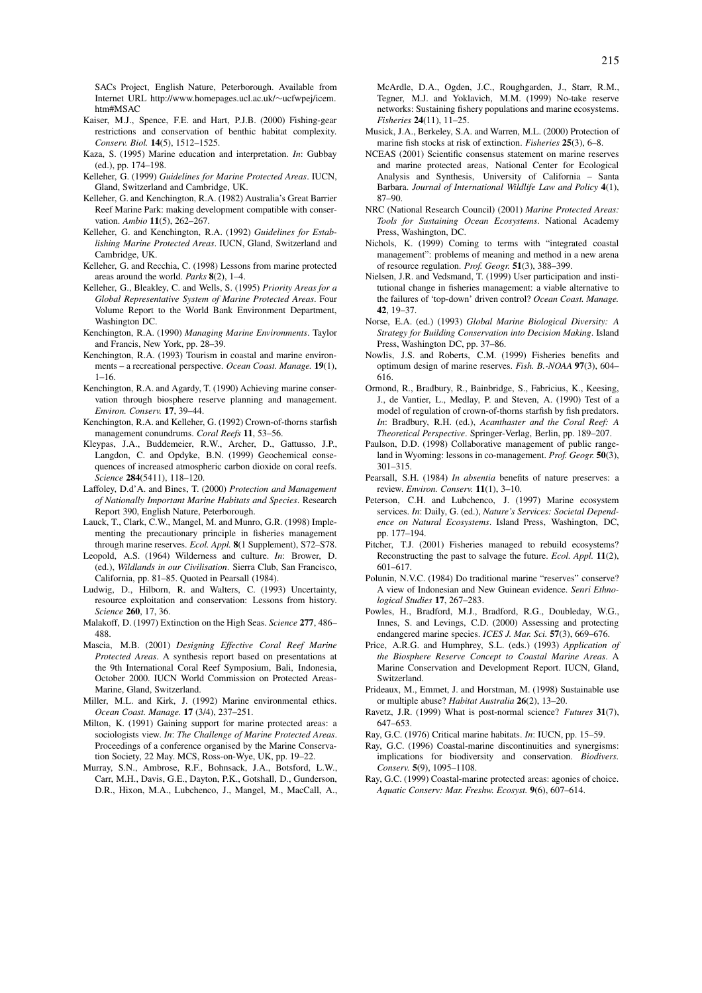SACs Project, English Nature, Peterborough. Available from Internet URL http://www.homepages.ucl.ac.uk/∼ucfwpej/icem. htm#MSAC

- Kaiser, M.J., Spence, F.E. and Hart, P.J.B. (2000) Fishing-gear restrictions and conservation of benthic habitat complexity. *Conserv. Biol.* **14**(5), 1512–1525.
- Kaza, S. (1995) Marine education and interpretation. *In*: Gubbay (ed.), pp. 174–198.
- Kelleher, G. (1999) *Guidelines for Marine Protected Areas*. IUCN, Gland, Switzerland and Cambridge, UK.
- Kelleher, G. and Kenchington, R.A. (1982) Australia's Great Barrier Reef Marine Park: making development compatible with conservation. *Ambio* **11**(5), 262–267.
- Kelleher, G. and Kenchington, R.A. (1992) *Guidelines for Establishing Marine Protected Areas*. IUCN, Gland, Switzerland and Cambridge, UK.
- Kelleher, G. and Recchia, C. (1998) Lessons from marine protected areas around the world. *Parks* **8**(2), 1–4.
- Kelleher, G., Bleakley, C. and Wells, S. (1995) *Priority Areas for a Global Representative System of Marine Protected Areas*. Four Volume Report to the World Bank Environment Department, Washington DC.
- Kenchington, R.A. (1990) *Managing Marine Environments*. Taylor and Francis, New York, pp. 28–39.
- Kenchington, R.A. (1993) Tourism in coastal and marine environments – a recreational perspective. *Ocean Coast. Manage.* **19**(1), 1–16.
- Kenchington, R.A. and Agardy, T. (1990) Achieving marine conservation through biosphere reserve planning and management. *Environ. Conserv.* **17**, 39–44.
- Kenchington, R.A. and Kelleher, G. (1992) Crown-of-thorns starfish management conundrums. *Coral Reefs* **11**, 53–56.
- Kleypas, J.A., Buddemeier, R.W., Archer, D., Gattusso, J.P., Langdon, C. and Opdyke, B.N. (1999) Geochemical consequences of increased atmospheric carbon dioxide on coral reefs. *Science* **284**(5411), 118–120.
- Laffoley, D.d'A. and Bines, T. (2000) *Protection and Management of Nationally Important Marine Habitats and Species*. Research Report 390, English Nature, Peterborough.
- Lauck, T., Clark, C.W., Mangel, M. and Munro, G.R. (1998) Implementing the precautionary principle in fisheries management through marine reserves. *Ecol. Appl.* **8**(1 Supplement), S72–S78.
- Leopold, A.S. (1964) Wilderness and culture. *In*: Brower, D. (ed.), *Wildlands in our Civilisation*. Sierra Club, San Francisco, California, pp. 81–85. Quoted in Pearsall (1984).
- Ludwig, D., Hilborn, R. and Walters, C. (1993) Uncertainty, resource exploitation and conservation: Lessons from history. *Science* **260**, 17, 36.
- Malakoff, D. (1997) Extinction on the High Seas. *Science* **277**, 486– 488.
- Mascia, M.B. (2001) *Designing Effective Coral Reef Marine Protected Areas*. A synthesis report based on presentations at the 9th International Coral Reef Symposium, Bali, Indonesia, October 2000. IUCN World Commission on Protected Areas-Marine, Gland, Switzerland.
- Miller, M.L. and Kirk, J. (1992) Marine environmental ethics. *Ocean Coast. Manage.* **17** (3/4), 237–251.
- Milton, K. (1991) Gaining support for marine protected areas: a sociologists view. *In*: *The Challenge of Marine Protected Areas*. Proceedings of a conference organised by the Marine Conservation Society, 22 May. MCS, Ross-on-Wye, UK, pp. 19–22.
- Murray, S.N., Ambrose, R.F., Bohnsack, J.A., Botsford, L.W., Carr, M.H., Davis, G.E., Dayton, P.K., Gotshall, D., Gunderson, D.R., Hixon, M.A., Lubchenco, J., Mangel, M., MacCall, A.,

McArdle, D.A., Ogden, J.C., Roughgarden, J., Starr, R.M., Tegner, M.J. and Yoklavich, M.M. (1999) No-take reserve networks: Sustaining fishery populations and marine ecosystems. *Fisheries* **24**(11), 11–25.

- Musick, J.A., Berkeley, S.A. and Warren, M.L. (2000) Protection of marine fish stocks at risk of extinction. *Fisheries* **25**(3), 6–8.
- NCEAS (2001) Scientific consensus statement on marine reserves and marine protected areas, National Center for Ecological Analysis and Synthesis, University of California – Santa Barbara. *Journal of International Wildlife Law and Policy* **4**(1), 87–90.
- NRC (National Research Council) (2001) *Marine Protected Areas: Tools for Sustaining Ocean Ecosystems*. National Academy Press, Washington, DC.
- Nichols, K. (1999) Coming to terms with "integrated coastal management": problems of meaning and method in a new arena of resource regulation. *Prof. Geogr.* **51**(3), 388–399.
- Nielsen, J.R. and Vedsmand, T. (1999) User participation and institutional change in fisheries management: a viable alternative to the failures of 'top-down' driven control? *Ocean Coast. Manage.* **42**, 19–37.
- Norse, E.A. (ed.) (1993) *Global Marine Biological Diversity: A Strategy for Building Conservation into Decision Making*. Island Press, Washington DC, pp. 37–86.
- Nowlis, J.S. and Roberts, C.M. (1999) Fisheries benefits and optimum design of marine reserves. *Fish. B.-NOAA* **97**(3), 604– 616.
- Ormond, R., Bradbury, R., Bainbridge, S., Fabricius, K., Keesing, J., de Vantier, L., Medlay, P. and Steven, A. (1990) Test of a model of regulation of crown-of-thorns starfish by fish predators. *In*: Bradbury, R.H. (ed.), *Acanthaster and the Coral Reef: A Theoretical Perspective*. Springer-Verlag, Berlin, pp. 189–207.
- Paulson, D.D. (1998) Collaborative management of public rangeland in Wyoming: lessons in co-management. *Prof. Geogr.* **50**(3), 301–315.
- Pearsall, S.H. (1984) *In absentia* benefits of nature preserves: a review. *Environ. Conserv.* **11**(1), 3–10.
- Peterson, C.H. and Lubchenco, J. (1997) Marine ecosystem services. *In*: Daily, G. (ed.), *Nature's Services: Societal Dependence on Natural Ecosystems*. Island Press, Washington, DC, pp. 177–194.
- Pitcher, T.J. (2001) Fisheries managed to rebuild ecosystems? Reconstructing the past to salvage the future. *Ecol. Appl.* **11**(2), 601–617.
- Polunin, N.V.C. (1984) Do traditional marine "reserves" conserve? A view of Indonesian and New Guinean evidence. *Senri Ethnological Studies* **17**, 267–283.
- Powles, H., Bradford, M.J., Bradford, R.G., Doubleday, W.G., Innes, S. and Levings, C.D. (2000) Assessing and protecting endangered marine species. *ICES J. Mar. Sci.* **57**(3), 669–676.
- Price, A.R.G. and Humphrey, S.L. (eds.) (1993) *Application of the Biosphere Reserve Concept to Coastal Marine Areas*. A Marine Conservation and Development Report. IUCN, Gland, Switzerland.
- Prideaux, M., Emmet, J. and Horstman, M. (1998) Sustainable use or multiple abuse? *Habitat Australia* **26**(2), 13–20.
- Ravetz, J.R. (1999) What is post-normal science? *Futures* **31**(7), 647–653.
- Ray, G.C. (1976) Critical marine habitats. *In*: IUCN, pp. 15–59.
- Ray, G.C. (1996) Coastal-marine discontinuities and synergisms: implications for biodiversity and conservation. *Biodivers. Conserv.* **5**(9), 1095–1108.
- Ray, G.C. (1999) Coastal-marine protected areas: agonies of choice. *Aquatic Conserv: Mar. Freshw. Ecosyst.* **9**(6), 607–614.